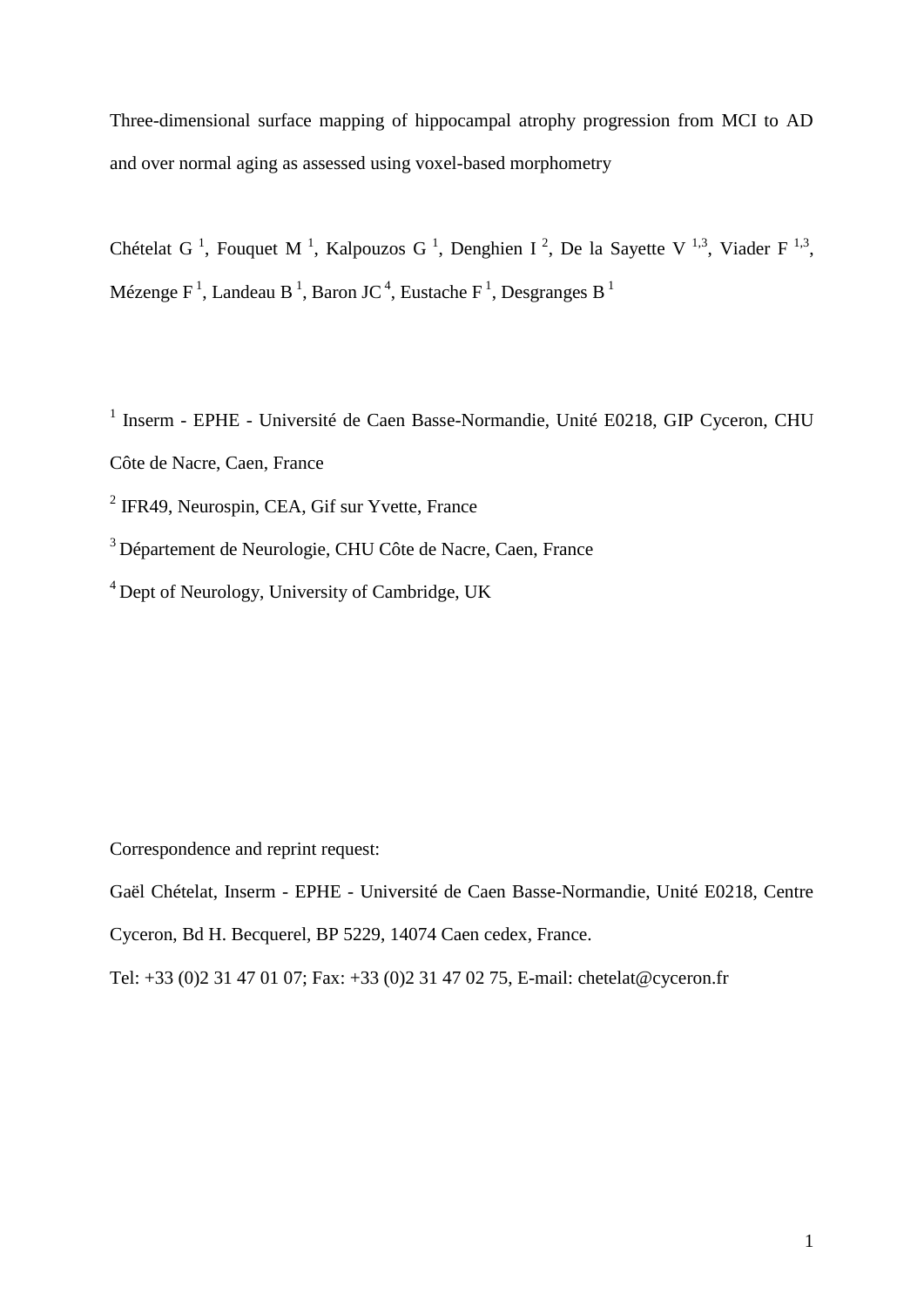Three-dimensional surface mapping of hippocampal atrophy progression from MCI to AD and over normal aging as assessed using voxel-based morphometry

Chételat G<sup>1</sup>, Fouquet M<sup>1</sup>, Kalpouzos G<sup>1</sup>, Denghien I<sup>2</sup>, De la Sayette V<sup>1,3</sup>, Viader F<sup>1,3</sup>, Mézenge F<sup>1</sup>, Landeau B<sup>1</sup>, Baron JC<sup>4</sup>, Eustache F<sup>1</sup>, Desgranges B<sup>1</sup>

<sup>1</sup> Inserm - EPHE - Université de Caen Basse-Normandie, Unité E0218, GIP Cyceron, CHU

- Côte de Nacre, Caen, France
- <sup>2</sup> IFR49, Neurospin, CEA, Gif sur Yvette, France
- <sup>3</sup>Département de Neurologie, CHU Côte de Nacre, Caen, France
- <sup>4</sup> Dept of Neurology, University of Cambridge, UK

Correspondence and reprint request:

Cyceron, Bd H. Becquerel, BP 5229, 14074 Caen cedex, France.

Gaël Chételat, Inserm - EPHE - Université de Caen Basse-Normandie, Unité E0218, Centre

Tel: +33 (0)2 31 47 01 07; Fax: +33 (0)2 31 47 02 75, E-mail: chetelat@cyceron.fr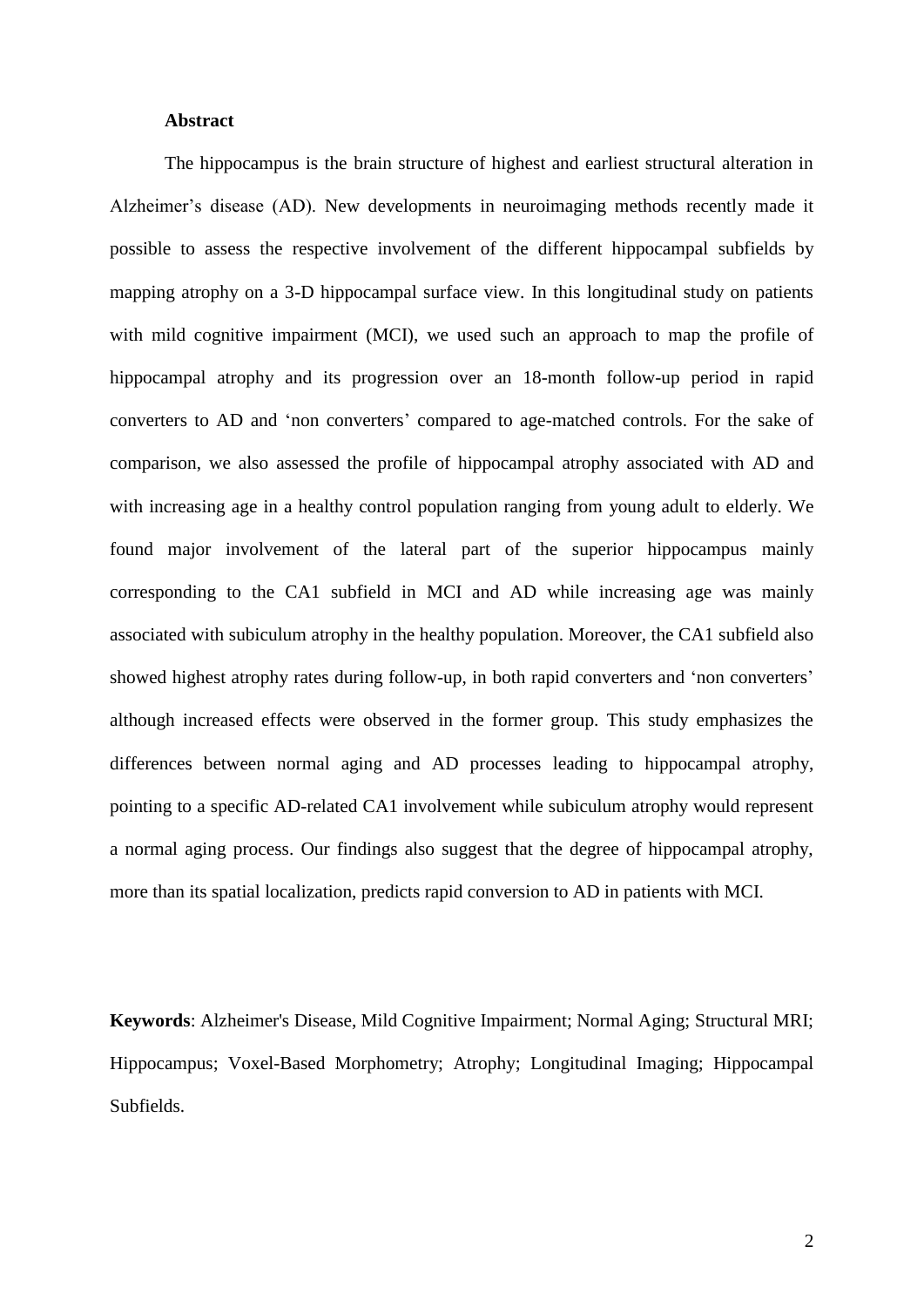### **Abstract**

The hippocampus is the brain structure of highest and earliest structural alteration in Alzheimer's disease (AD). New developments in neuroimaging methods recently made it possible to assess the respective involvement of the different hippocampal subfields by mapping atrophy on a 3-D hippocampal surface view. In this longitudinal study on patients with mild cognitive impairment (MCI), we used such an approach to map the profile of hippocampal atrophy and its progression over an 18-month follow-up period in rapid converters to AD and "non converters" compared to age-matched controls. For the sake of comparison, we also assessed the profile of hippocampal atrophy associated with AD and with increasing age in a healthy control population ranging from young adult to elderly. We found major involvement of the lateral part of the superior hippocampus mainly corresponding to the CA1 subfield in MCI and AD while increasing age was mainly associated with subiculum atrophy in the healthy population. Moreover, the CA1 subfield also showed highest atrophy rates during follow-up, in both rapid converters and 'non converters' although increased effects were observed in the former group. This study emphasizes the differences between normal aging and AD processes leading to hippocampal atrophy, pointing to a specific AD-related CA1 involvement while subiculum atrophy would represent a normal aging process. Our findings also suggest that the degree of hippocampal atrophy, more than its spatial localization, predicts rapid conversion to AD in patients with MCI.

**Keywords**: Alzheimer's Disease, Mild Cognitive Impairment; Normal Aging; Structural MRI; Hippocampus; Voxel-Based Morphometry; Atrophy; Longitudinal Imaging; Hippocampal Subfields.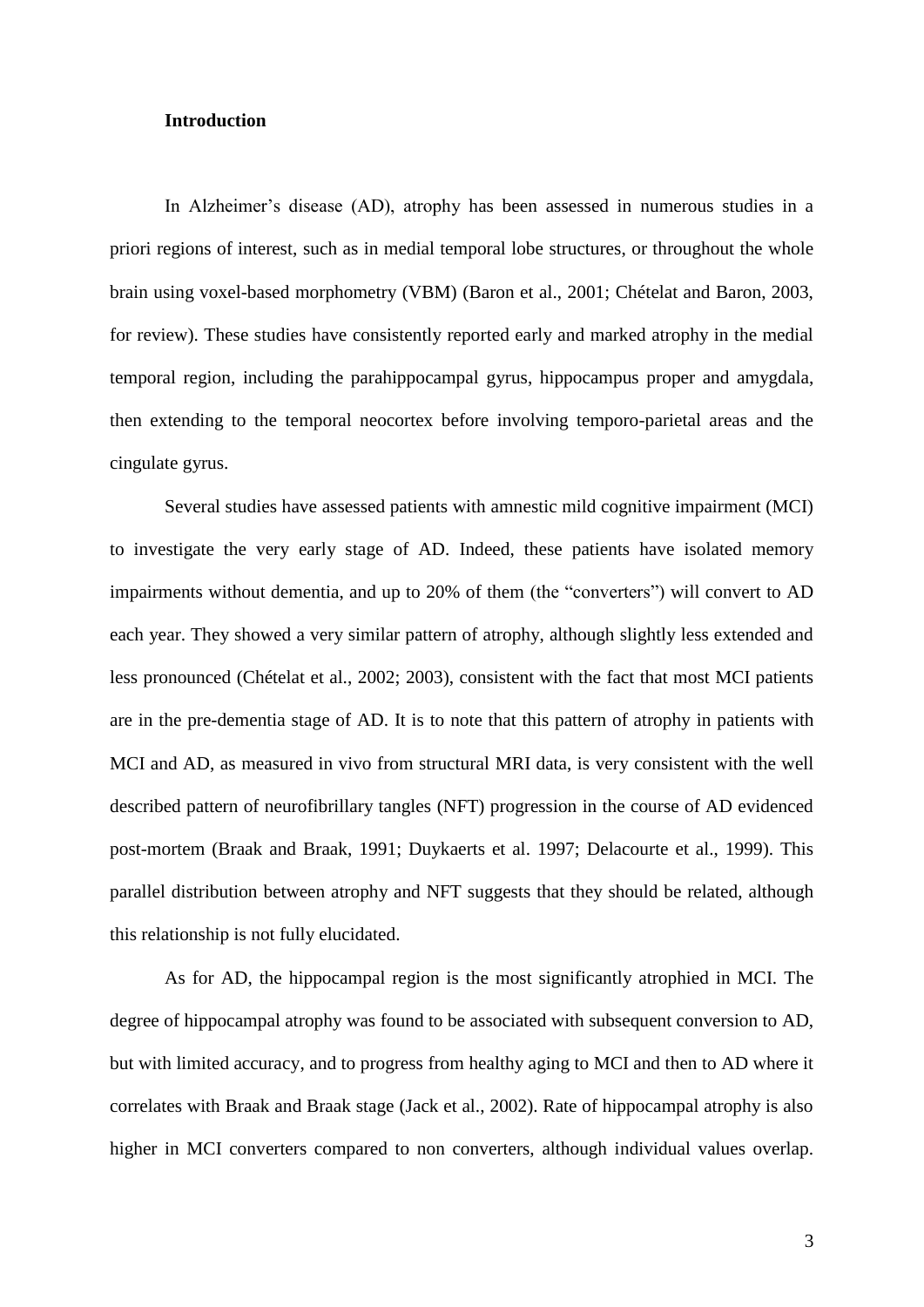# **Introduction**

In Alzheimer's disease (AD), atrophy has been assessed in numerous studies in a priori regions of interest, such as in medial temporal lobe structures, or throughout the whole brain using voxel-based morphometry (VBM) (Baron et al., 2001; Chételat and Baron, 2003, for review). These studies have consistently reported early and marked atrophy in the medial temporal region, including the parahippocampal gyrus, hippocampus proper and amygdala, then extending to the temporal neocortex before involving temporo-parietal areas and the cingulate gyrus.

Several studies have assessed patients with amnestic mild cognitive impairment (MCI) to investigate the very early stage of AD. Indeed, these patients have isolated memory impairments without dementia, and up to 20% of them (the "converters") will convert to AD each year. They showed a very similar pattern of atrophy, although slightly less extended and less pronounced (Chételat et al., 2002; 2003), consistent with the fact that most MCI patients are in the pre-dementia stage of AD. It is to note that this pattern of atrophy in patients with MCI and AD, as measured in vivo from structural MRI data, is very consistent with the well described pattern of neurofibrillary tangles (NFT) progression in the course of AD evidenced post-mortem (Braak and Braak, 1991; Duykaerts et al. 1997; Delacourte et al., 1999). This parallel distribution between atrophy and NFT suggests that they should be related, although this relationship is not fully elucidated.

As for AD, the hippocampal region is the most significantly atrophied in MCI. The degree of hippocampal atrophy was found to be associated with subsequent conversion to AD, but with limited accuracy, and to progress from healthy aging to MCI and then to AD where it correlates with Braak and Braak stage (Jack et al., 2002). Rate of hippocampal atrophy is also higher in MCI converters compared to non converters, although individual values overlap.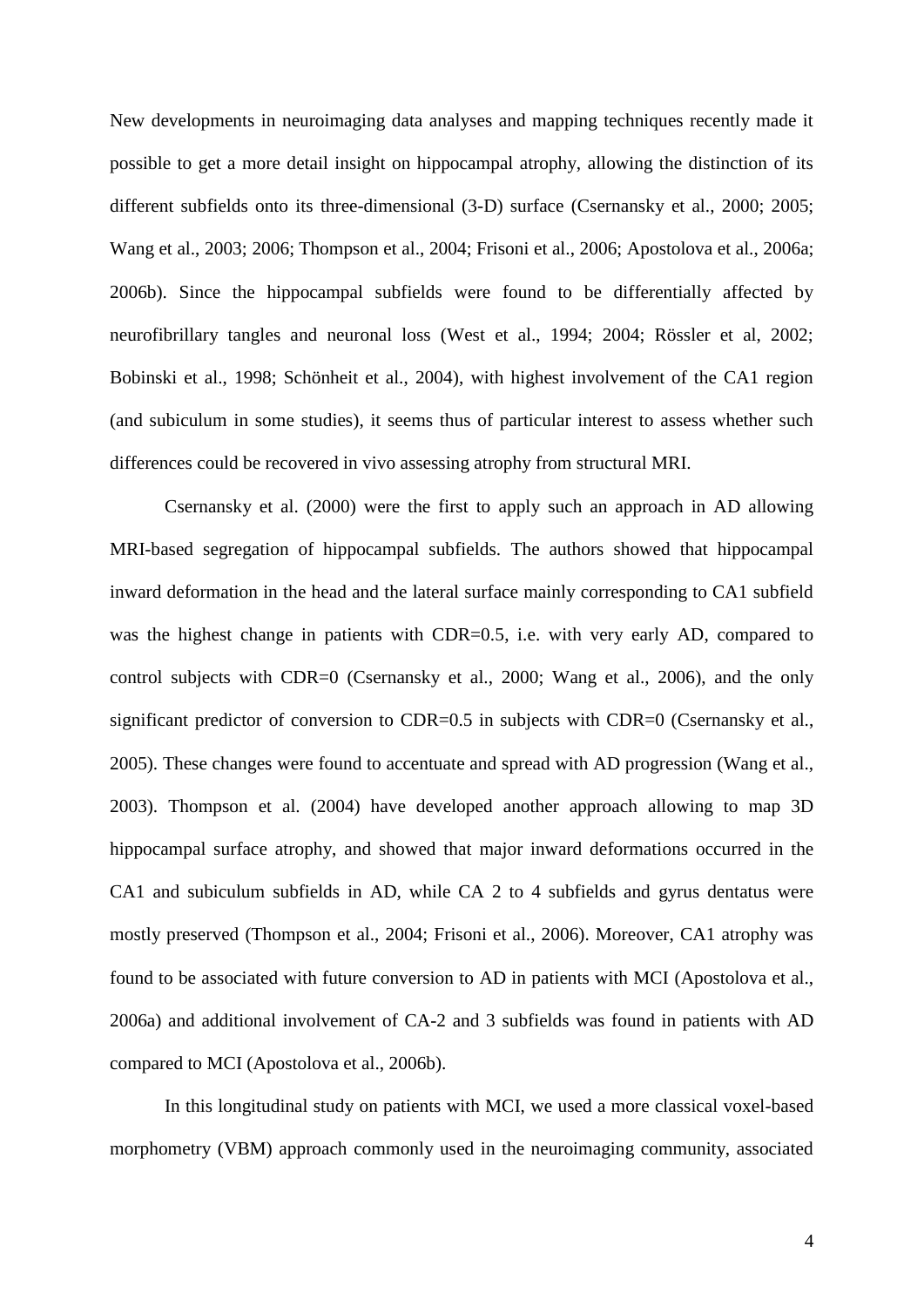New developments in neuroimaging data analyses and mapping techniques recently made it possible to get a more detail insight on hippocampal atrophy, allowing the distinction of its different subfields onto its three-dimensional (3-D) surface (Csernansky et al., 2000; 2005; Wang et al., 2003; 2006; Thompson et al., 2004; Frisoni et al., 2006; Apostolova et al., 2006a; 2006b). Since the hippocampal subfields were found to be differentially affected by neurofibrillary tangles and neuronal loss (West et al., 1994; 2004; Rössler et al, 2002; Bobinski et al., 1998; Schönheit et al., 2004), with highest involvement of the CA1 region (and subiculum in some studies), it seems thus of particular interest to assess whether such differences could be recovered in vivo assessing atrophy from structural MRI.

Csernansky et al. (2000) were the first to apply such an approach in AD allowing MRI-based segregation of hippocampal subfields. The authors showed that hippocampal inward deformation in the head and the lateral surface mainly corresponding to CA1 subfield was the highest change in patients with CDR=0.5, i.e. with very early AD, compared to control subjects with CDR=0 (Csernansky et al., 2000; Wang et al., 2006), and the only significant predictor of conversion to CDR=0.5 in subjects with CDR=0 (Csernansky et al., 2005). These changes were found to accentuate and spread with AD progression (Wang et al., 2003). Thompson et al. (2004) have developed another approach allowing to map 3D hippocampal surface atrophy, and showed that major inward deformations occurred in the CA1 and subiculum subfields in AD, while CA 2 to 4 subfields and gyrus dentatus were mostly preserved (Thompson et al., 2004; Frisoni et al., 2006). Moreover, CA1 atrophy was found to be associated with future conversion to AD in patients with MCI (Apostolova et al., 2006a) and additional involvement of CA-2 and 3 subfields was found in patients with AD compared to MCI (Apostolova et al., 2006b).

In this longitudinal study on patients with MCI, we used a more classical voxel-based morphometry (VBM) approach commonly used in the neuroimaging community, associated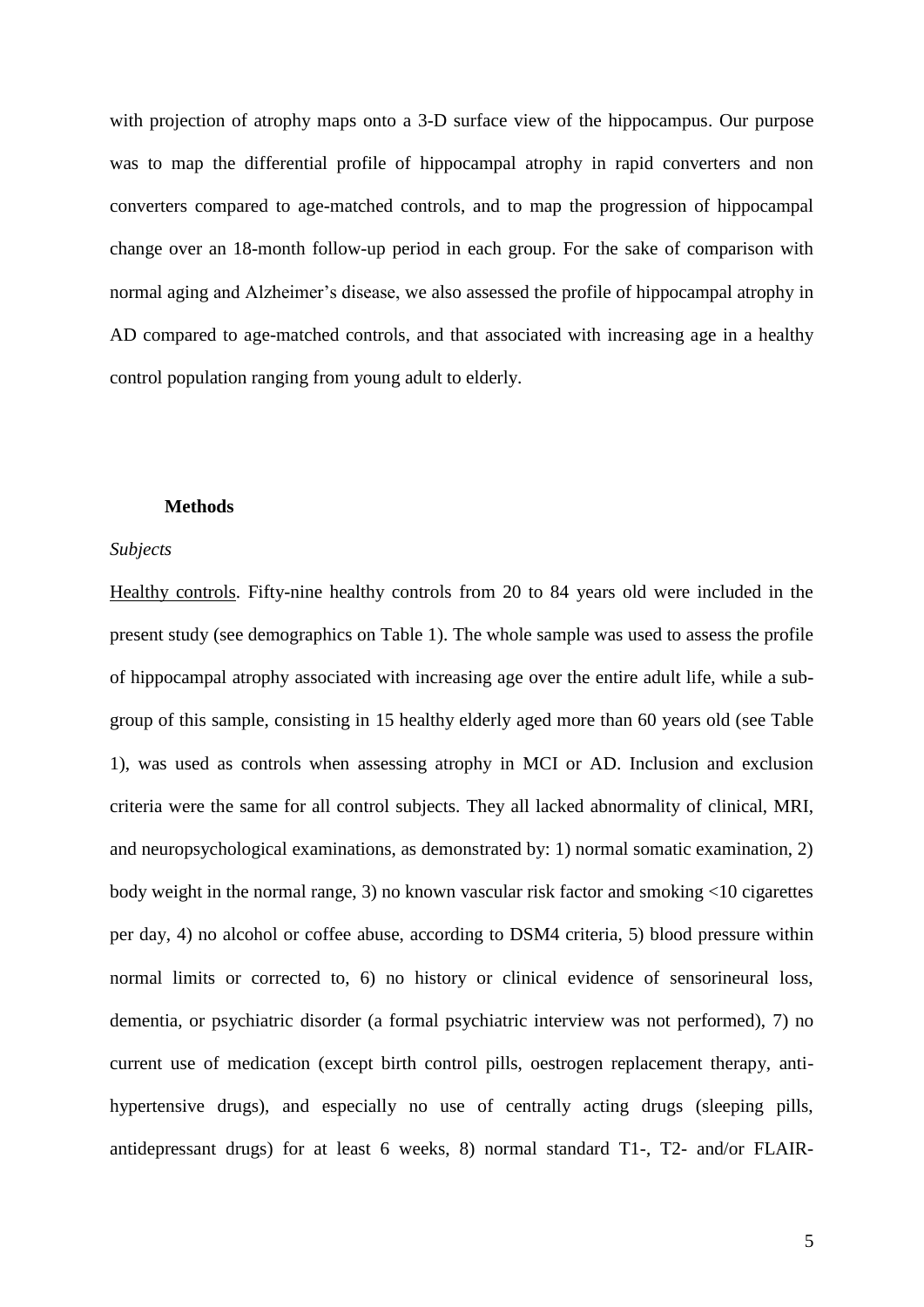with projection of atrophy maps onto a 3-D surface view of the hippocampus. Our purpose was to map the differential profile of hippocampal atrophy in rapid converters and non converters compared to age-matched controls, and to map the progression of hippocampal change over an 18-month follow-up period in each group. For the sake of comparison with normal aging and Alzheimer"s disease, we also assessed the profile of hippocampal atrophy in AD compared to age-matched controls, and that associated with increasing age in a healthy control population ranging from young adult to elderly.

## **Methods**

#### *Subjects*

Healthy controls. Fifty-nine healthy controls from 20 to 84 years old were included in the present study (see demographics on Table 1). The whole sample was used to assess the profile of hippocampal atrophy associated with increasing age over the entire adult life, while a subgroup of this sample, consisting in 15 healthy elderly aged more than 60 years old (see Table 1), was used as controls when assessing atrophy in MCI or AD. Inclusion and exclusion criteria were the same for all control subjects. They all lacked abnormality of clinical, MRI, and neuropsychological examinations, as demonstrated by: 1) normal somatic examination, 2) body weight in the normal range, 3) no known vascular risk factor and smoking <10 cigarettes per day, 4) no alcohol or coffee abuse, according to DSM4 criteria, 5) blood pressure within normal limits or corrected to, 6) no history or clinical evidence of sensorineural loss, dementia, or psychiatric disorder (a formal psychiatric interview was not performed), 7) no current use of medication (except birth control pills, oestrogen replacement therapy, antihypertensive drugs), and especially no use of centrally acting drugs (sleeping pills, antidepressant drugs) for at least 6 weeks, 8) normal standard T1-, T2- and/or FLAIR-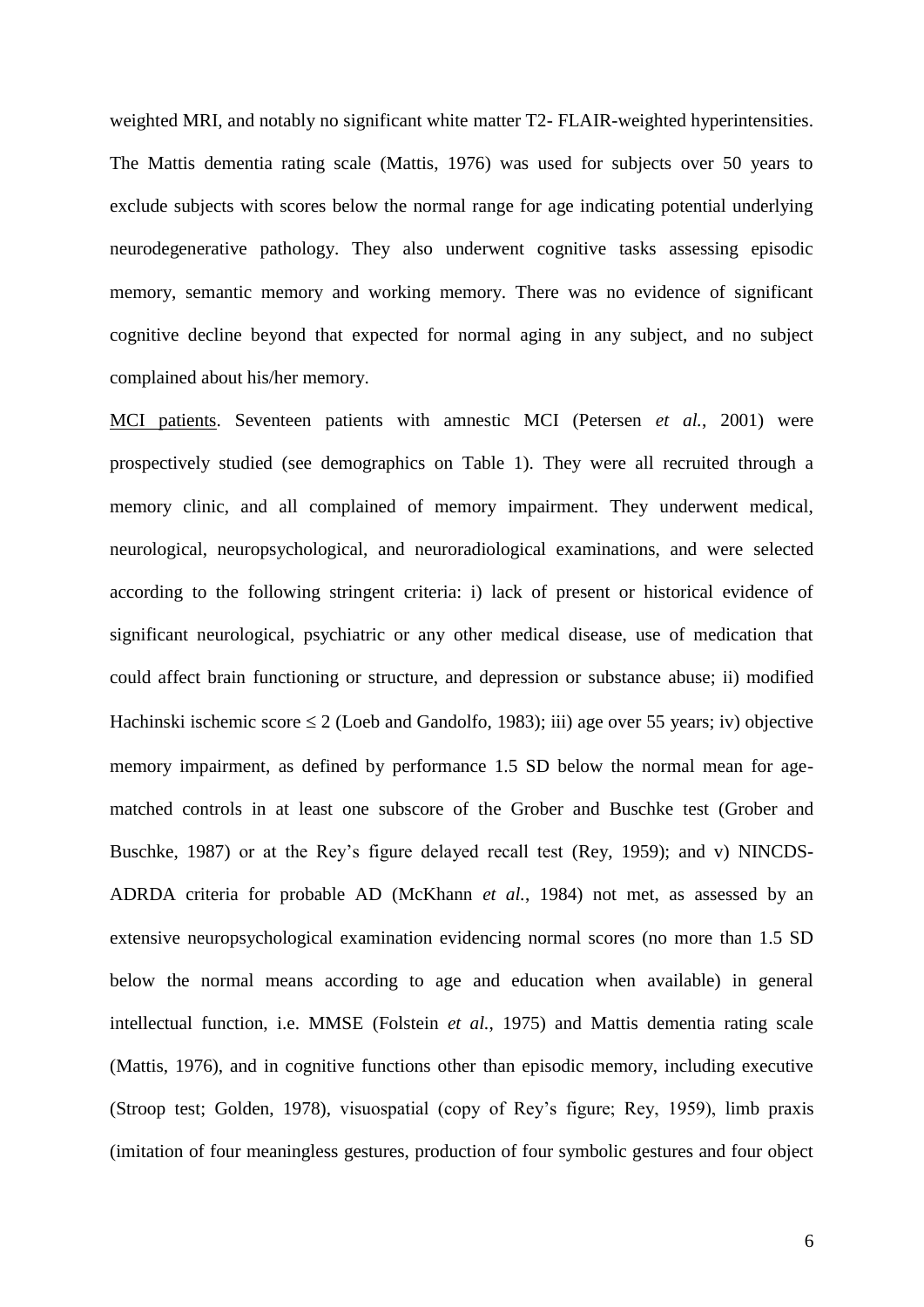weighted MRI, and notably no significant white matter T2- FLAIR-weighted hyperintensities. The Mattis dementia rating scale (Mattis, 1976) was used for subjects over 50 years to exclude subjects with scores below the normal range for age indicating potential underlying neurodegenerative pathology. They also underwent cognitive tasks assessing episodic memory, semantic memory and working memory. There was no evidence of significant cognitive decline beyond that expected for normal aging in any subject, and no subject complained about his/her memory.

MCI patients. Seventeen patients with amnestic MCI (Petersen *et al.*, 2001) were prospectively studied (see demographics on Table 1). They were all recruited through a memory clinic, and all complained of memory impairment. They underwent medical, neurological, neuropsychological, and neuroradiological examinations, and were selected according to the following stringent criteria: i) lack of present or historical evidence of significant neurological, psychiatric or any other medical disease, use of medication that could affect brain functioning or structure, and depression or substance abuse; ii) modified Hachinski ischemic score  $\leq 2$  (Loeb and Gandolfo, 1983); iii) age over 55 years; iv) objective memory impairment, as defined by performance 1.5 SD below the normal mean for agematched controls in at least one subscore of the Grober and Buschke test (Grober and Buschke, 1987) or at the Rey"s figure delayed recall test (Rey, 1959); and v) NINCDS-ADRDA criteria for probable AD (McKhann *et al.*, 1984) not met, as assessed by an extensive neuropsychological examination evidencing normal scores (no more than 1.5 SD below the normal means according to age and education when available) in general intellectual function, i.e. MMSE (Folstein *et al.*, 1975) and Mattis dementia rating scale (Mattis, 1976), and in cognitive functions other than episodic memory, including executive (Stroop test; Golden, 1978), visuospatial (copy of Rey"s figure; Rey, 1959), limb praxis (imitation of four meaningless gestures, production of four symbolic gestures and four object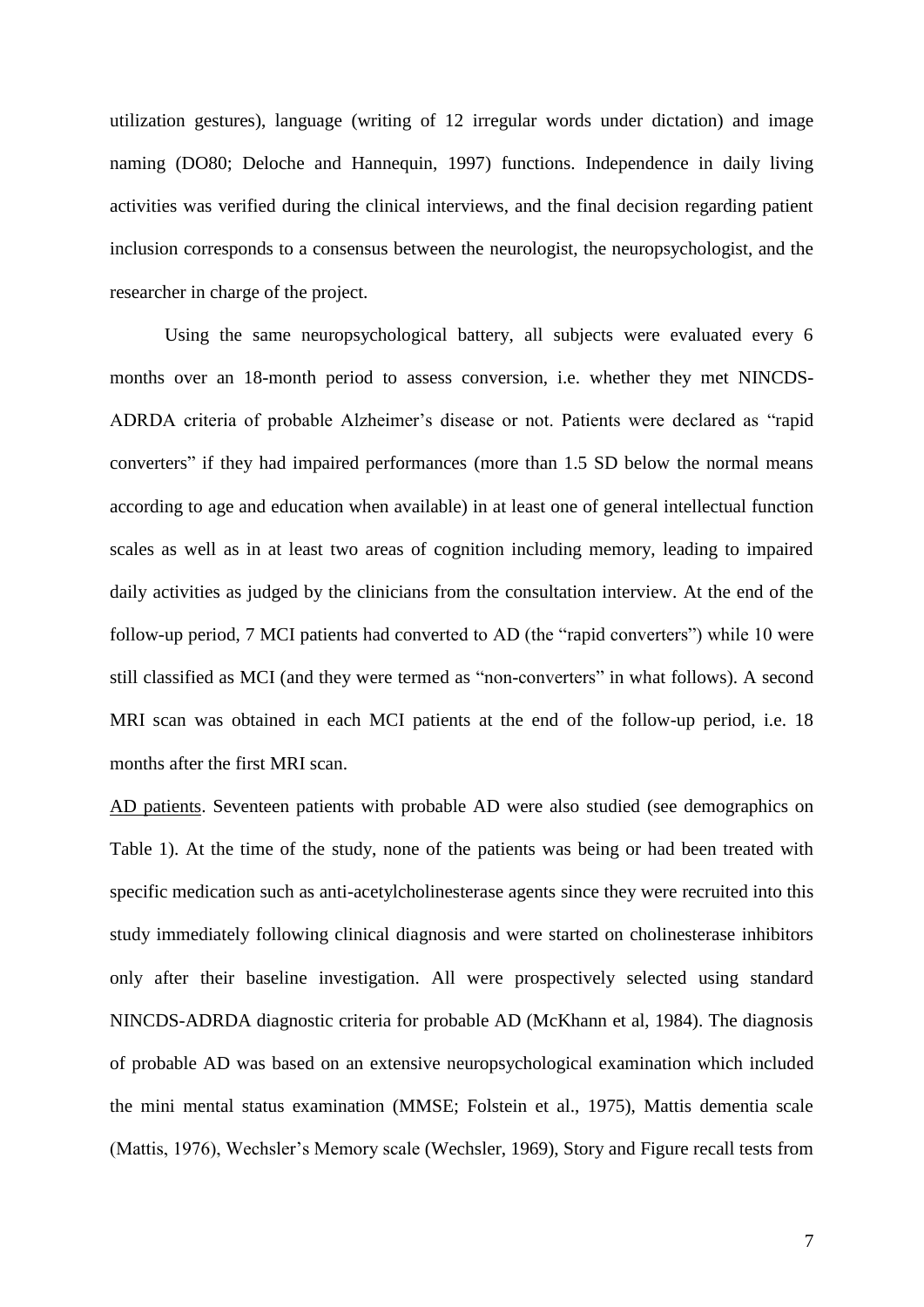utilization gestures), language (writing of 12 irregular words under dictation) and image naming (DO80; Deloche and Hannequin, 1997) functions. Independence in daily living activities was verified during the clinical interviews, and the final decision regarding patient inclusion corresponds to a consensus between the neurologist, the neuropsychologist, and the researcher in charge of the project.

Using the same neuropsychological battery, all subjects were evaluated every 6 months over an 18-month period to assess conversion, i.e. whether they met NINCDS-ADRDA criteria of probable Alzheimer"s disease or not. Patients were declared as "rapid converters" if they had impaired performances (more than 1.5 SD below the normal means according to age and education when available) in at least one of general intellectual function scales as well as in at least two areas of cognition including memory, leading to impaired daily activities as judged by the clinicians from the consultation interview. At the end of the follow-up period, 7 MCI patients had converted to AD (the "rapid converters") while 10 were still classified as MCI (and they were termed as "non-converters" in what follows). A second MRI scan was obtained in each MCI patients at the end of the follow-up period, i.e. 18 months after the first MRI scan.

AD patients. Seventeen patients with probable AD were also studied (see demographics on Table 1). At the time of the study, none of the patients was being or had been treated with specific medication such as anti-acetylcholinesterase agents since they were recruited into this study immediately following clinical diagnosis and were started on cholinesterase inhibitors only after their baseline investigation. All were prospectively selected using standard NINCDS-ADRDA diagnostic criteria for probable AD (McKhann et al, 1984). The diagnosis of probable AD was based on an extensive neuropsychological examination which included the mini mental status examination (MMSE; Folstein et al., 1975), Mattis dementia scale (Mattis, 1976), Wechsler's Memory scale (Wechsler, 1969), Story and Figure recall tests from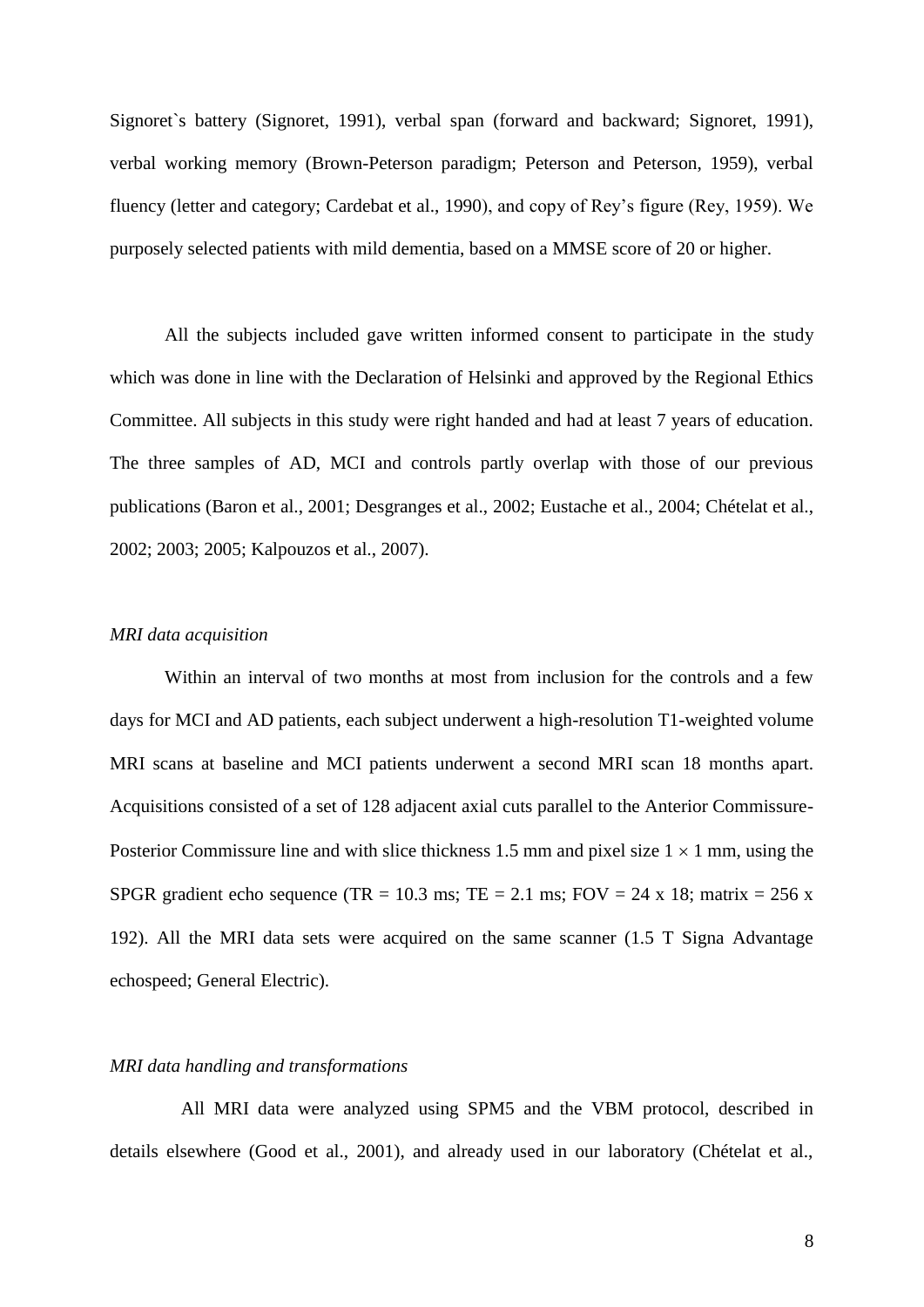Signoret`s battery (Signoret, 1991), verbal span (forward and backward; Signoret, 1991), verbal working memory (Brown-Peterson paradigm; Peterson and Peterson, 1959), verbal fluency (letter and category; Cardebat et al., 1990), and copy of Rey"s figure (Rey, 1959). We purposely selected patients with mild dementia, based on a MMSE score of 20 or higher.

All the subjects included gave written informed consent to participate in the study which was done in line with the Declaration of Helsinki and approved by the Regional Ethics Committee. All subjects in this study were right handed and had at least 7 years of education. The three samples of AD, MCI and controls partly overlap with those of our previous publications (Baron et al., 2001; Desgranges et al., 2002; Eustache et al., 2004; Chételat et al., 2002; 2003; 2005; Kalpouzos et al., 2007).

### *MRI data acquisition*

Within an interval of two months at most from inclusion for the controls and a few days for MCI and AD patients, each subject underwent a high-resolution T1-weighted volume MRI scans at baseline and MCI patients underwent a second MRI scan 18 months apart. Acquisitions consisted of a set of 128 adjacent axial cuts parallel to the Anterior Commissure-Posterior Commissure line and with slice thickness 1.5 mm and pixel size  $1 \times 1$  mm, using the SPGR gradient echo sequence (TR = 10.3 ms; TE = 2.1 ms; FOV = 24 x 18; matrix = 256 x 192). All the MRI data sets were acquired on the same scanner (1.5 T Signa Advantage echospeed; General Electric).

## *MRI data handling and transformations*

All MRI data were analyzed using SPM5 and the VBM protocol, described in details elsewhere (Good et al., 2001), and already used in our laboratory (Chételat et al.,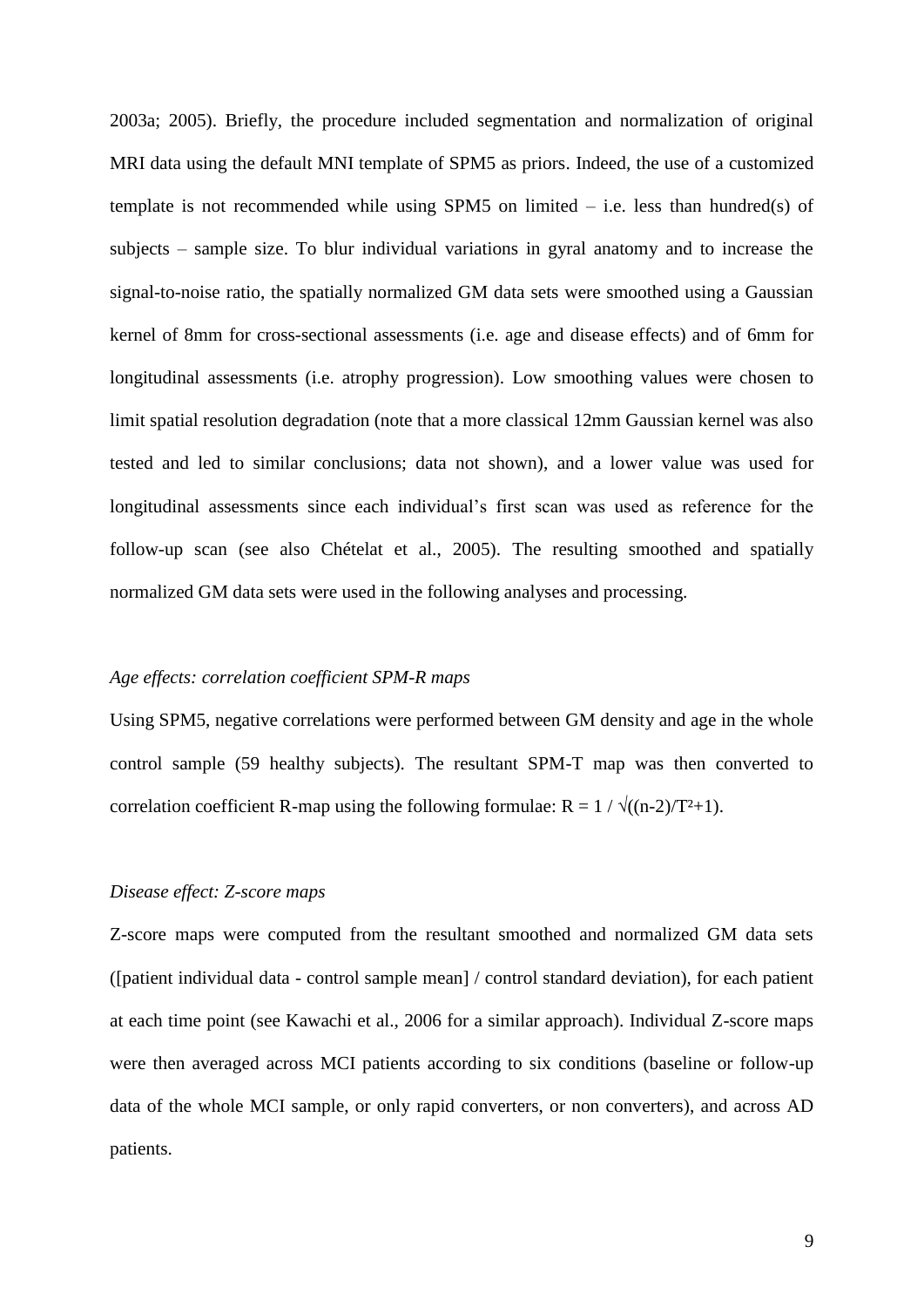2003a; 2005). Briefly, the procedure included segmentation and normalization of original MRI data using the default MNI template of SPM5 as priors. Indeed, the use of a customized template is not recommended while using SPM5 on limited  $-$  i.e. less than hundred(s) of subjects – sample size. To blur individual variations in gyral anatomy and to increase the signal-to-noise ratio, the spatially normalized GM data sets were smoothed using a Gaussian kernel of 8mm for cross-sectional assessments (i.e. age and disease effects) and of 6mm for longitudinal assessments (i.e. atrophy progression). Low smoothing values were chosen to limit spatial resolution degradation (note that a more classical 12mm Gaussian kernel was also tested and led to similar conclusions; data not shown), and a lower value was used for longitudinal assessments since each individual's first scan was used as reference for the follow-up scan (see also Chételat et al., 2005). The resulting smoothed and spatially normalized GM data sets were used in the following analyses and processing.

### *Age effects: correlation coefficient SPM-R maps*

Using SPM5, negative correlations were performed between GM density and age in the whole control sample (59 healthy subjects). The resultant SPM-T map was then converted to correlation coefficient R-map using the following formulae: R =  $1 / \sqrt{(n-2)/T^2+1}$ .

# *Disease effect: Z-score maps*

Z-score maps were computed from the resultant smoothed and normalized GM data sets ([patient individual data - control sample mean] / control standard deviation), for each patient at each time point (see Kawachi et al., 2006 for a similar approach). Individual Z-score maps were then averaged across MCI patients according to six conditions (baseline or follow-up data of the whole MCI sample, or only rapid converters, or non converters), and across AD patients.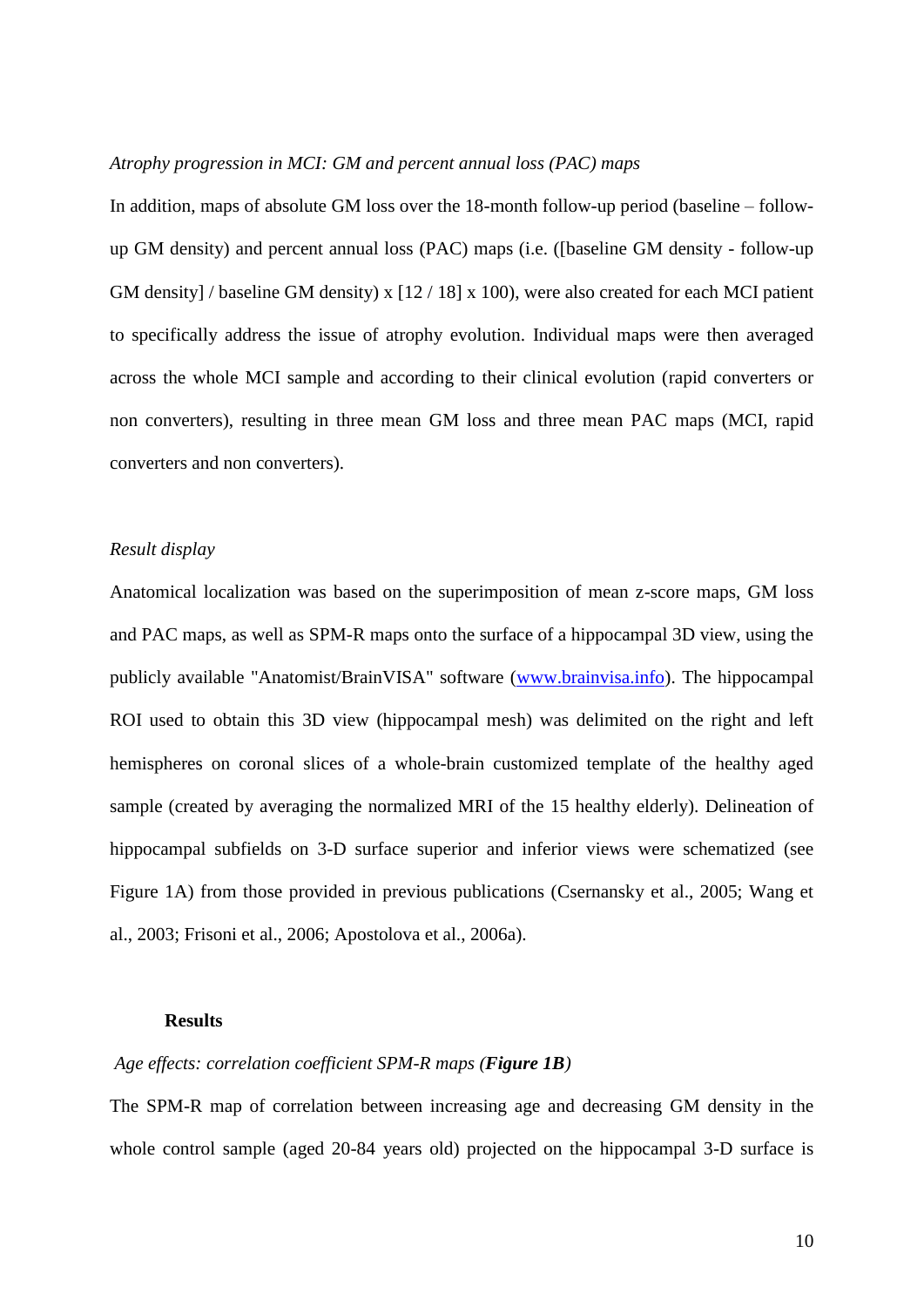## *Atrophy progression in MCI: GM and percent annual loss (PAC) maps*

In addition, maps of absolute GM loss over the 18-month follow-up period (baseline – followup GM density) and percent annual loss (PAC) maps (i.e. ([baseline GM density - follow-up GM density] / baseline GM density) x [12 / 18] x 100), were also created for each MCI patient to specifically address the issue of atrophy evolution. Individual maps were then averaged across the whole MCI sample and according to their clinical evolution (rapid converters or non converters), resulting in three mean GM loss and three mean PAC maps (MCI, rapid converters and non converters).

#### *Result display*

Anatomical localization was based on the superimposition of mean z-score maps, GM loss and PAC maps, as well as SPM-R maps onto the surface of a hippocampal 3D view, using the publicly available "Anatomist/BrainVISA" software [\(www.brainvisa.info\)](http://www.brainvisa.info/). The hippocampal ROI used to obtain this 3D view (hippocampal mesh) was delimited on the right and left hemispheres on coronal slices of a whole-brain customized template of the healthy aged sample (created by averaging the normalized MRI of the 15 healthy elderly). Delineation of hippocampal subfields on 3-D surface superior and inferior views were schematized (see Figure 1A) from those provided in previous publications (Csernansky et al., 2005; Wang et al., 2003; Frisoni et al., 2006; Apostolova et al., 2006a).

#### **Results**

### *Age effects: correlation coefficient SPM-R maps (Figure 1B)*

The SPM-R map of correlation between increasing age and decreasing GM density in the whole control sample (aged 20-84 years old) projected on the hippocampal 3-D surface is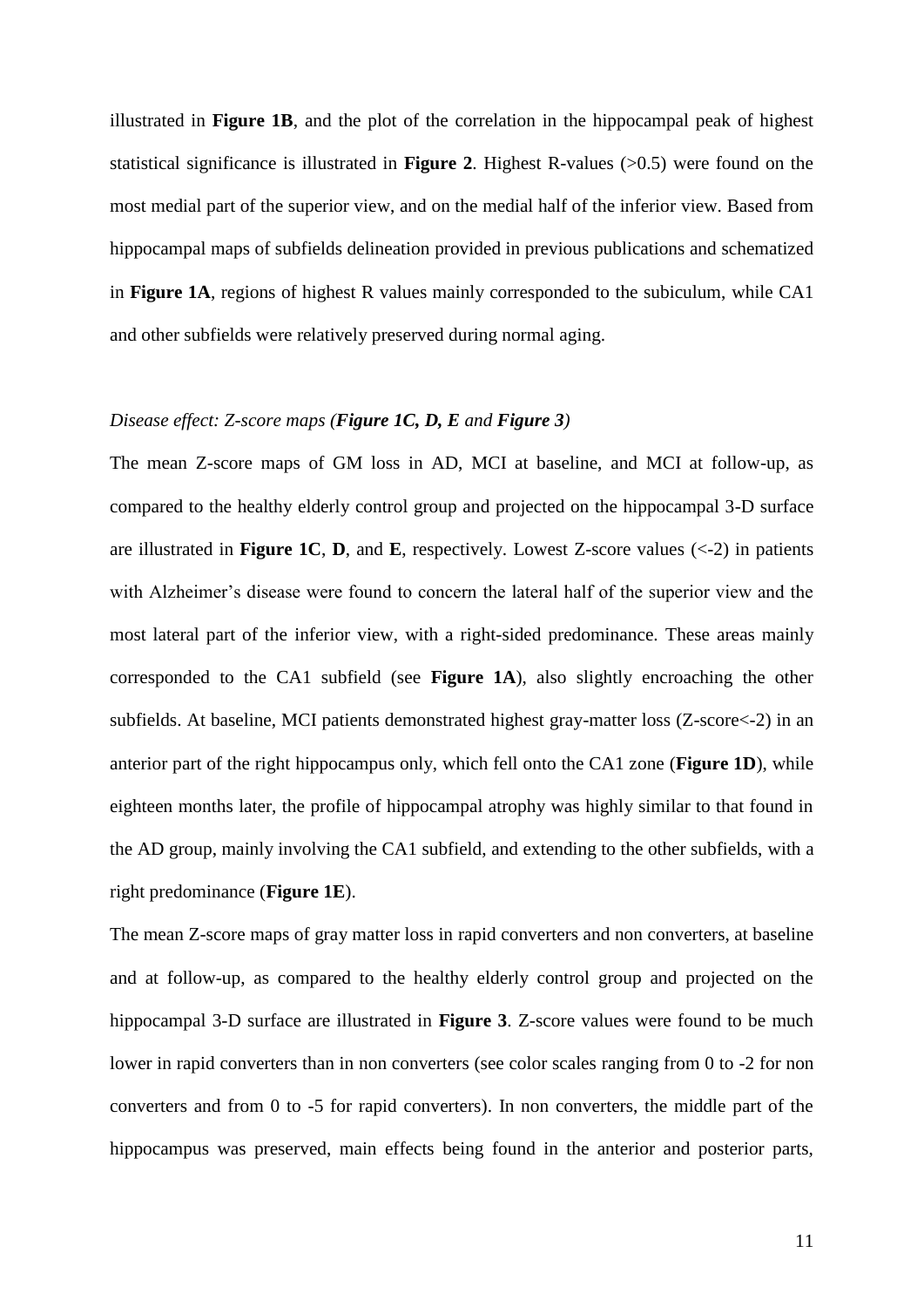illustrated in **Figure 1B**, and the plot of the correlation in the hippocampal peak of highest statistical significance is illustrated in **Figure 2**. Highest R-values (>0.5) were found on the most medial part of the superior view, and on the medial half of the inferior view. Based from hippocampal maps of subfields delineation provided in previous publications and schematized in **Figure 1A**, regions of highest R values mainly corresponded to the subiculum, while CA1 and other subfields were relatively preserved during normal aging.

# *Disease effect: Z-score maps (Figure 1C, D, E and Figure 3)*

The mean Z-score maps of GM loss in AD, MCI at baseline, and MCI at follow-up, as compared to the healthy elderly control group and projected on the hippocampal 3-D surface are illustrated in **Figure 1C**, **D**, and **E**, respectively. Lowest Z-score values  $(\leq 2)$  in patients with Alzheimer's disease were found to concern the lateral half of the superior view and the most lateral part of the inferior view, with a right-sided predominance. These areas mainly corresponded to the CA1 subfield (see **Figure 1A**), also slightly encroaching the other subfields. At baseline, MCI patients demonstrated highest gray-matter loss (Z-score<-2) in an anterior part of the right hippocampus only, which fell onto the CA1 zone (**Figure 1D**), while eighteen months later, the profile of hippocampal atrophy was highly similar to that found in the AD group, mainly involving the CA1 subfield, and extending to the other subfields, with a right predominance (**Figure 1E**).

The mean Z-score maps of gray matter loss in rapid converters and non converters, at baseline and at follow-up, as compared to the healthy elderly control group and projected on the hippocampal 3-D surface are illustrated in **Figure 3**. Z-score values were found to be much lower in rapid converters than in non converters (see color scales ranging from 0 to -2 for non converters and from 0 to -5 for rapid converters). In non converters, the middle part of the hippocampus was preserved, main effects being found in the anterior and posterior parts,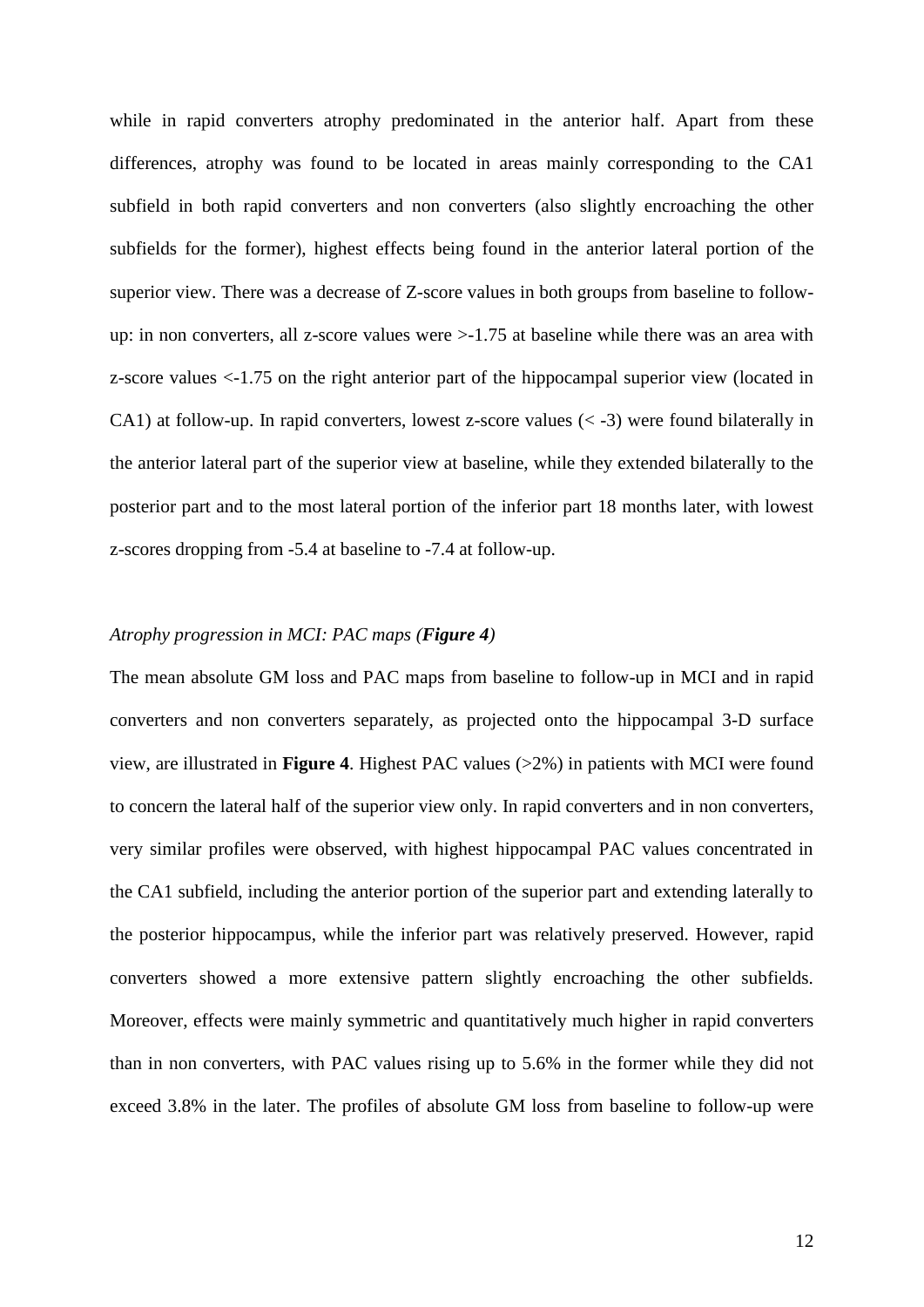while in rapid converters atrophy predominated in the anterior half. Apart from these differences, atrophy was found to be located in areas mainly corresponding to the CA1 subfield in both rapid converters and non converters (also slightly encroaching the other subfields for the former), highest effects being found in the anterior lateral portion of the superior view. There was a decrease of Z-score values in both groups from baseline to followup: in non converters, all z-score values were >-1.75 at baseline while there was an area with z-score values <-1.75 on the right anterior part of the hippocampal superior view (located in CA1) at follow-up. In rapid converters, lowest z-score values  $(<$  -3) were found bilaterally in the anterior lateral part of the superior view at baseline, while they extended bilaterally to the posterior part and to the most lateral portion of the inferior part 18 months later, with lowest z-scores dropping from -5.4 at baseline to -7.4 at follow-up.

### *Atrophy progression in MCI: PAC maps (Figure 4)*

The mean absolute GM loss and PAC maps from baseline to follow-up in MCI and in rapid converters and non converters separately, as projected onto the hippocampal 3-D surface view, are illustrated in **Figure 4**. Highest PAC values (>2%) in patients with MCI were found to concern the lateral half of the superior view only. In rapid converters and in non converters, very similar profiles were observed, with highest hippocampal PAC values concentrated in the CA1 subfield, including the anterior portion of the superior part and extending laterally to the posterior hippocampus, while the inferior part was relatively preserved. However, rapid converters showed a more extensive pattern slightly encroaching the other subfields. Moreover, effects were mainly symmetric and quantitatively much higher in rapid converters than in non converters, with PAC values rising up to 5.6% in the former while they did not exceed 3.8% in the later. The profiles of absolute GM loss from baseline to follow-up were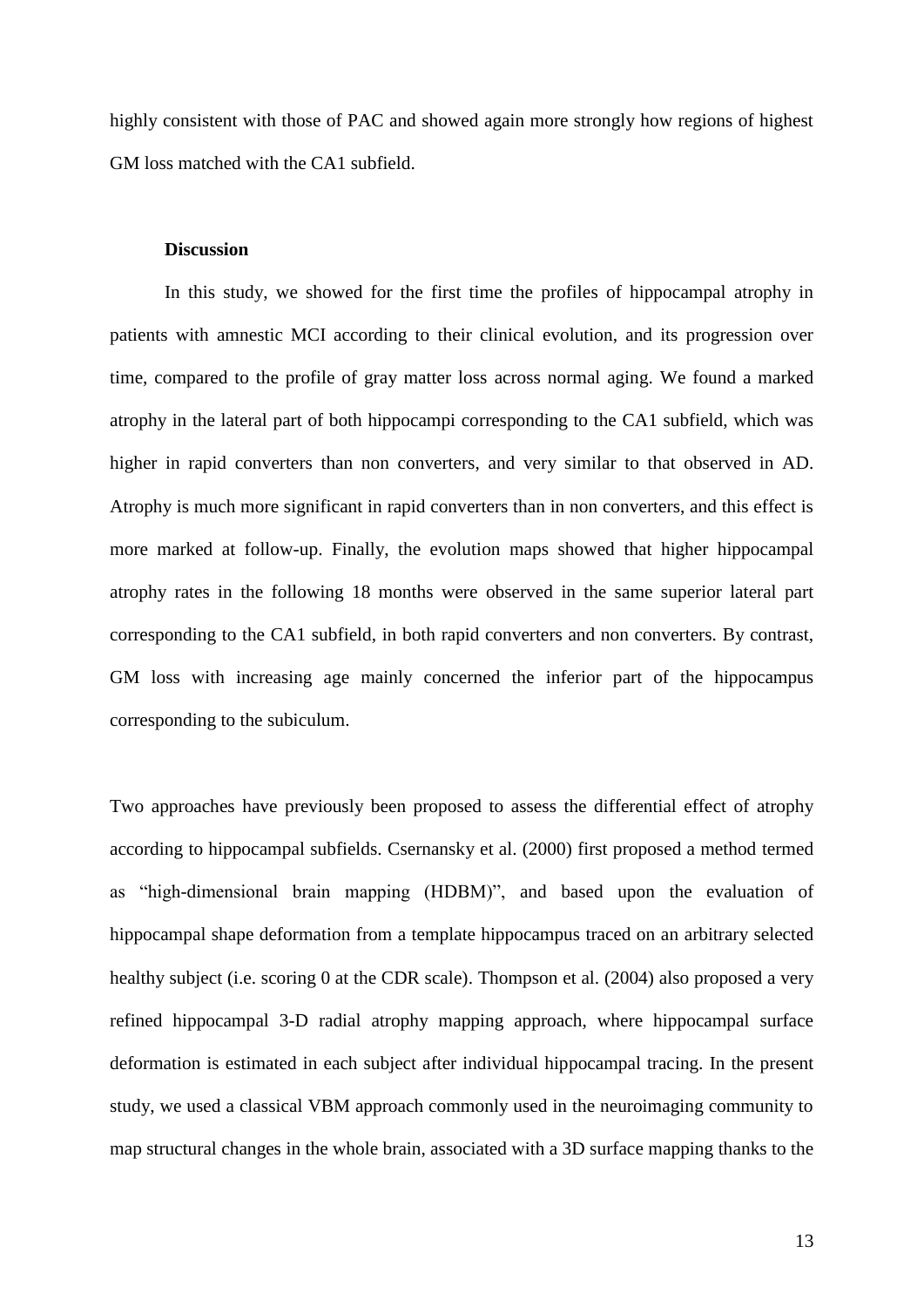highly consistent with those of PAC and showed again more strongly how regions of highest GM loss matched with the CA1 subfield.

## **Discussion**

In this study, we showed for the first time the profiles of hippocampal atrophy in patients with amnestic MCI according to their clinical evolution, and its progression over time, compared to the profile of gray matter loss across normal aging. We found a marked atrophy in the lateral part of both hippocampi corresponding to the CA1 subfield, which was higher in rapid converters than non converters, and very similar to that observed in AD. Atrophy is much more significant in rapid converters than in non converters, and this effect is more marked at follow-up. Finally, the evolution maps showed that higher hippocampal atrophy rates in the following 18 months were observed in the same superior lateral part corresponding to the CA1 subfield, in both rapid converters and non converters. By contrast, GM loss with increasing age mainly concerned the inferior part of the hippocampus corresponding to the subiculum.

Two approaches have previously been proposed to assess the differential effect of atrophy according to hippocampal subfields. Csernansky et al. (2000) first proposed a method termed as "high-dimensional brain mapping (HDBM)", and based upon the evaluation of hippocampal shape deformation from a template hippocampus traced on an arbitrary selected healthy subject (i.e. scoring 0 at the CDR scale). Thompson et al. (2004) also proposed a very refined hippocampal 3-D radial atrophy mapping approach, where hippocampal surface deformation is estimated in each subject after individual hippocampal tracing. In the present study, we used a classical VBM approach commonly used in the neuroimaging community to map structural changes in the whole brain, associated with a 3D surface mapping thanks to the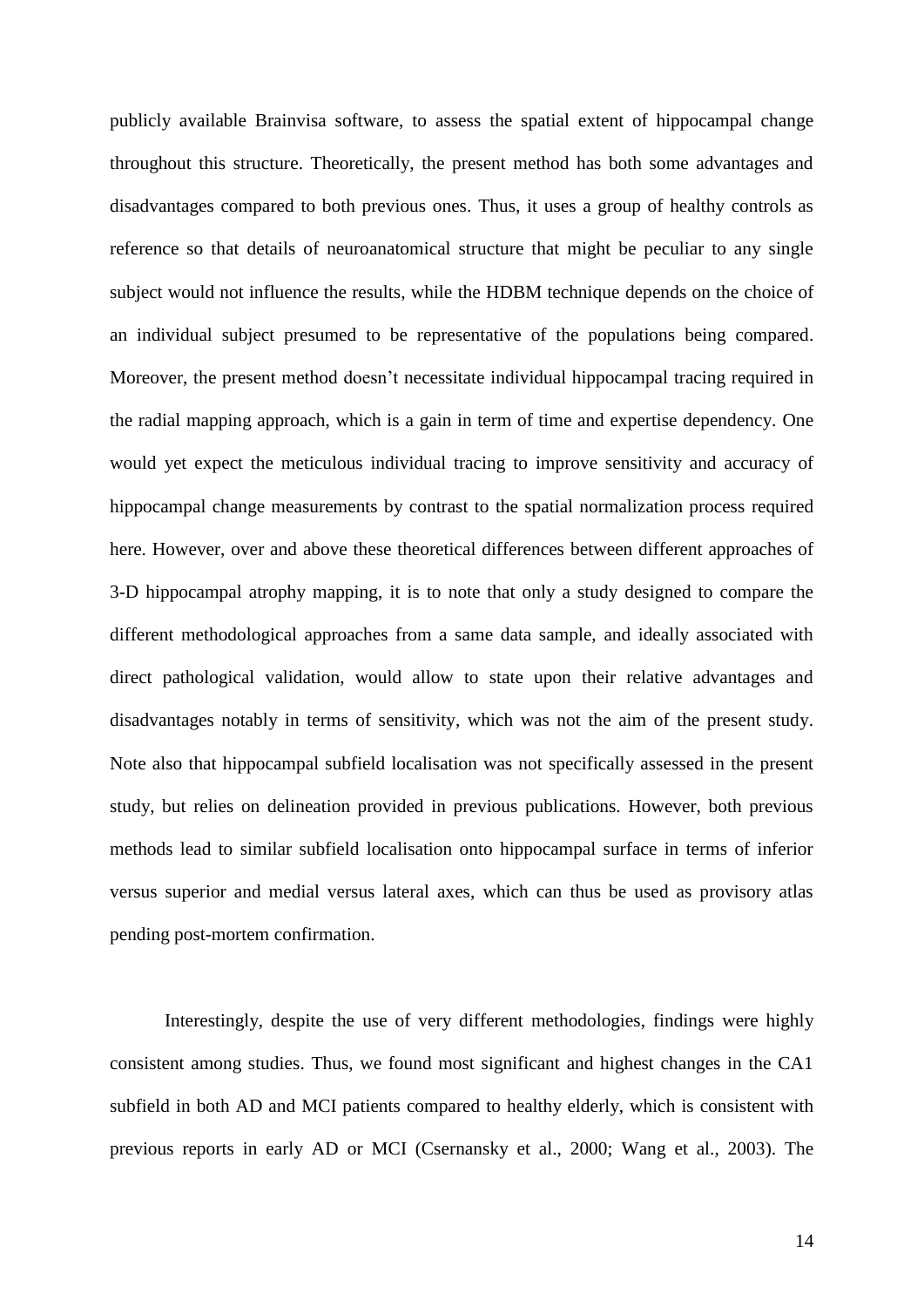publicly available Brainvisa software, to assess the spatial extent of hippocampal change throughout this structure. Theoretically, the present method has both some advantages and disadvantages compared to both previous ones. Thus, it uses a group of healthy controls as reference so that details of neuroanatomical structure that might be peculiar to any single subject would not influence the results, while the HDBM technique depends on the choice of an individual subject presumed to be representative of the populations being compared. Moreover, the present method doesn"t necessitate individual hippocampal tracing required in the radial mapping approach, which is a gain in term of time and expertise dependency. One would yet expect the meticulous individual tracing to improve sensitivity and accuracy of hippocampal change measurements by contrast to the spatial normalization process required here. However, over and above these theoretical differences between different approaches of 3-D hippocampal atrophy mapping, it is to note that only a study designed to compare the different methodological approaches from a same data sample, and ideally associated with direct pathological validation, would allow to state upon their relative advantages and disadvantages notably in terms of sensitivity, which was not the aim of the present study. Note also that hippocampal subfield localisation was not specifically assessed in the present study, but relies on delineation provided in previous publications. However, both previous methods lead to similar subfield localisation onto hippocampal surface in terms of inferior versus superior and medial versus lateral axes, which can thus be used as provisory atlas pending post-mortem confirmation.

Interestingly, despite the use of very different methodologies, findings were highly consistent among studies. Thus, we found most significant and highest changes in the CA1 subfield in both AD and MCI patients compared to healthy elderly, which is consistent with previous reports in early AD or MCI (Csernansky et al., 2000; Wang et al., 2003). The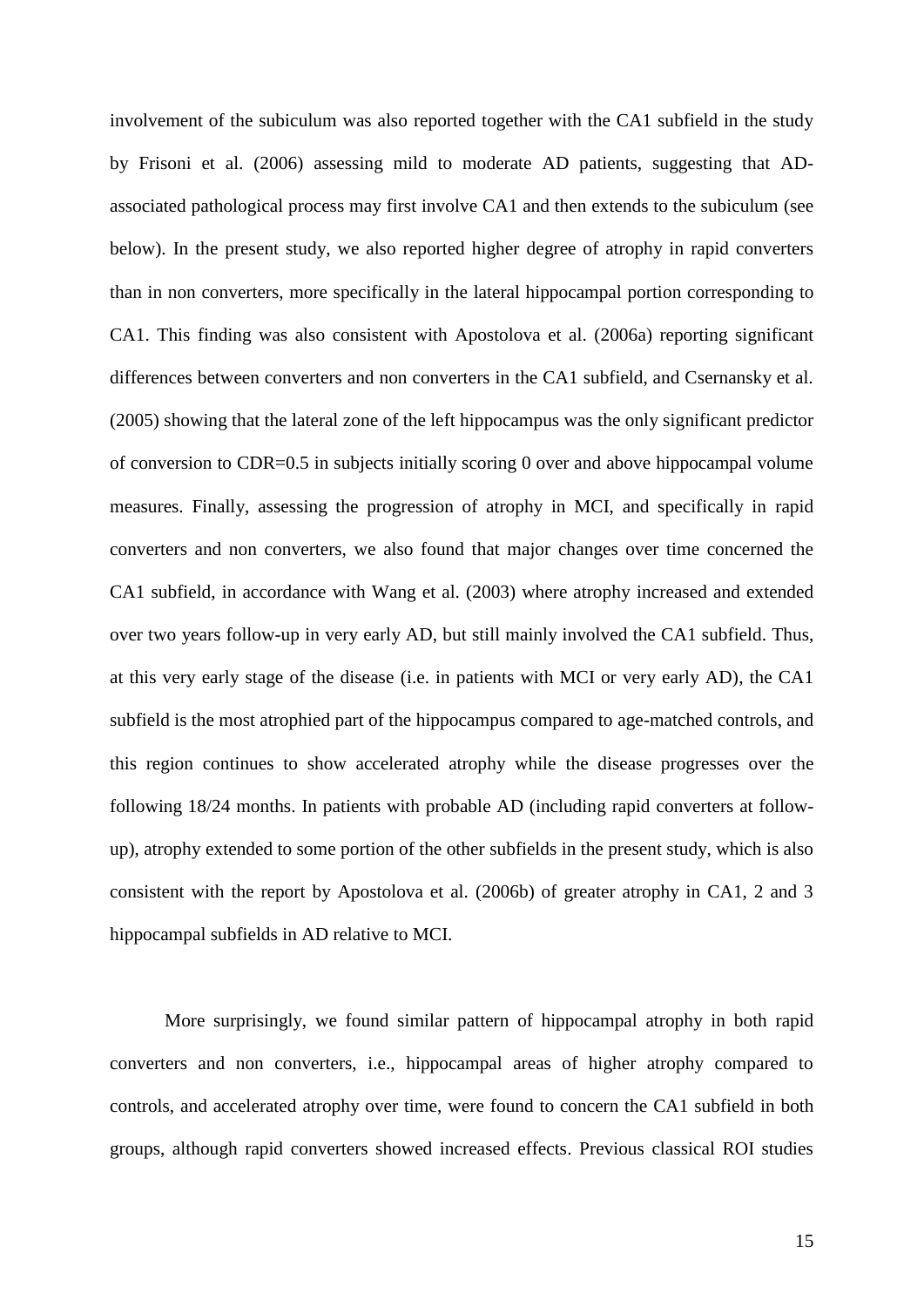involvement of the subiculum was also reported together with the CA1 subfield in the study by Frisoni et al. (2006) assessing mild to moderate AD patients, suggesting that ADassociated pathological process may first involve CA1 and then extends to the subiculum (see below). In the present study, we also reported higher degree of atrophy in rapid converters than in non converters, more specifically in the lateral hippocampal portion corresponding to CA1. This finding was also consistent with Apostolova et al. (2006a) reporting significant differences between converters and non converters in the CA1 subfield, and Csernansky et al. (2005) showing that the lateral zone of the left hippocampus was the only significant predictor of conversion to CDR=0.5 in subjects initially scoring 0 over and above hippocampal volume measures. Finally, assessing the progression of atrophy in MCI, and specifically in rapid converters and non converters, we also found that major changes over time concerned the CA1 subfield, in accordance with Wang et al. (2003) where atrophy increased and extended over two years follow-up in very early AD, but still mainly involved the CA1 subfield. Thus, at this very early stage of the disease (i.e. in patients with MCI or very early AD), the CA1 subfield is the most atrophied part of the hippocampus compared to age-matched controls, and this region continues to show accelerated atrophy while the disease progresses over the following 18/24 months. In patients with probable AD (including rapid converters at followup), atrophy extended to some portion of the other subfields in the present study, which is also consistent with the report by Apostolova et al. (2006b) of greater atrophy in CA1, 2 and 3 hippocampal subfields in AD relative to MCI.

More surprisingly, we found similar pattern of hippocampal atrophy in both rapid converters and non converters, i.e., hippocampal areas of higher atrophy compared to controls, and accelerated atrophy over time, were found to concern the CA1 subfield in both groups, although rapid converters showed increased effects. Previous classical ROI studies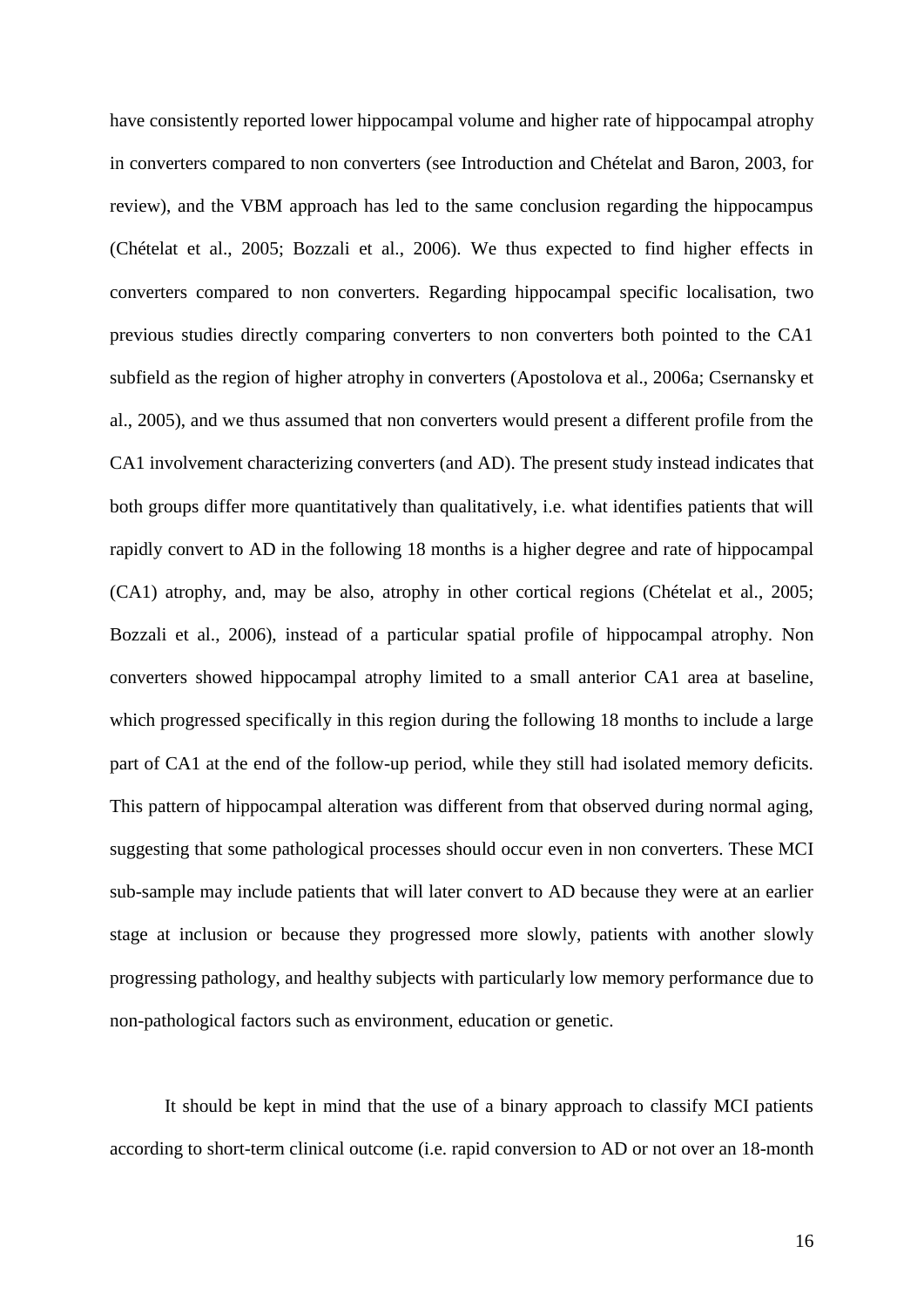have consistently reported lower hippocampal volume and higher rate of hippocampal atrophy in converters compared to non converters (see Introduction and Chételat and Baron, 2003, for review), and the VBM approach has led to the same conclusion regarding the hippocampus (Chételat et al., 2005; Bozzali et al., 2006). We thus expected to find higher effects in converters compared to non converters. Regarding hippocampal specific localisation, two previous studies directly comparing converters to non converters both pointed to the CA1 subfield as the region of higher atrophy in converters (Apostolova et al., 2006a; Csernansky et al., 2005), and we thus assumed that non converters would present a different profile from the CA1 involvement characterizing converters (and AD). The present study instead indicates that both groups differ more quantitatively than qualitatively, i.e. what identifies patients that will rapidly convert to AD in the following 18 months is a higher degree and rate of hippocampal (CA1) atrophy, and, may be also, atrophy in other cortical regions (Chételat et al., 2005; Bozzali et al., 2006), instead of a particular spatial profile of hippocampal atrophy. Non converters showed hippocampal atrophy limited to a small anterior CA1 area at baseline, which progressed specifically in this region during the following 18 months to include a large part of CA1 at the end of the follow-up period, while they still had isolated memory deficits. This pattern of hippocampal alteration was different from that observed during normal aging, suggesting that some pathological processes should occur even in non converters. These MCI sub-sample may include patients that will later convert to AD because they were at an earlier stage at inclusion or because they progressed more slowly, patients with another slowly progressing pathology, and healthy subjects with particularly low memory performance due to non-pathological factors such as environment, education or genetic.

It should be kept in mind that the use of a binary approach to classify MCI patients according to short-term clinical outcome (i.e. rapid conversion to AD or not over an 18-month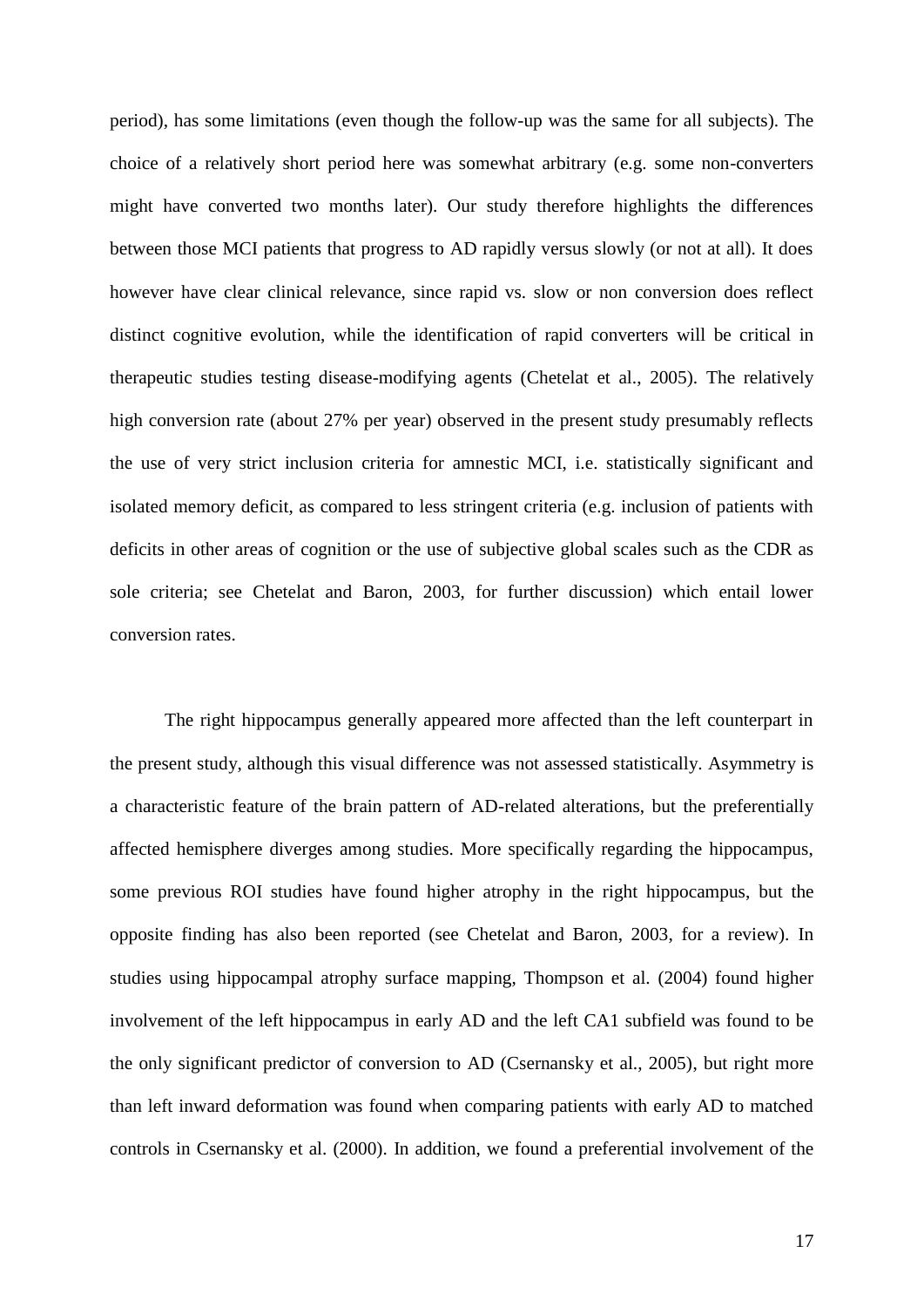period), has some limitations (even though the follow-up was the same for all subjects). The choice of a relatively short period here was somewhat arbitrary (e.g. some non-converters might have converted two months later). Our study therefore highlights the differences between those MCI patients that progress to AD rapidly versus slowly (or not at all). It does however have clear clinical relevance, since rapid vs. slow or non conversion does reflect distinct cognitive evolution, while the identification of rapid converters will be critical in therapeutic studies testing disease-modifying agents (Chetelat et al., 2005). The relatively high conversion rate (about 27% per year) observed in the present study presumably reflects the use of very strict inclusion criteria for amnestic MCI, i.e. statistically significant and isolated memory deficit, as compared to less stringent criteria (e.g. inclusion of patients with deficits in other areas of cognition or the use of subjective global scales such as the CDR as sole criteria; see Chetelat and Baron, 2003, for further discussion) which entail lower conversion rates.

The right hippocampus generally appeared more affected than the left counterpart in the present study, although this visual difference was not assessed statistically. Asymmetry is a characteristic feature of the brain pattern of AD-related alterations, but the preferentially affected hemisphere diverges among studies. More specifically regarding the hippocampus, some previous ROI studies have found higher atrophy in the right hippocampus, but the opposite finding has also been reported (see Chetelat and Baron, 2003, for a review). In studies using hippocampal atrophy surface mapping, Thompson et al. (2004) found higher involvement of the left hippocampus in early AD and the left CA1 subfield was found to be the only significant predictor of conversion to AD (Csernansky et al., 2005), but right more than left inward deformation was found when comparing patients with early AD to matched controls in Csernansky et al. (2000). In addition, we found a preferential involvement of the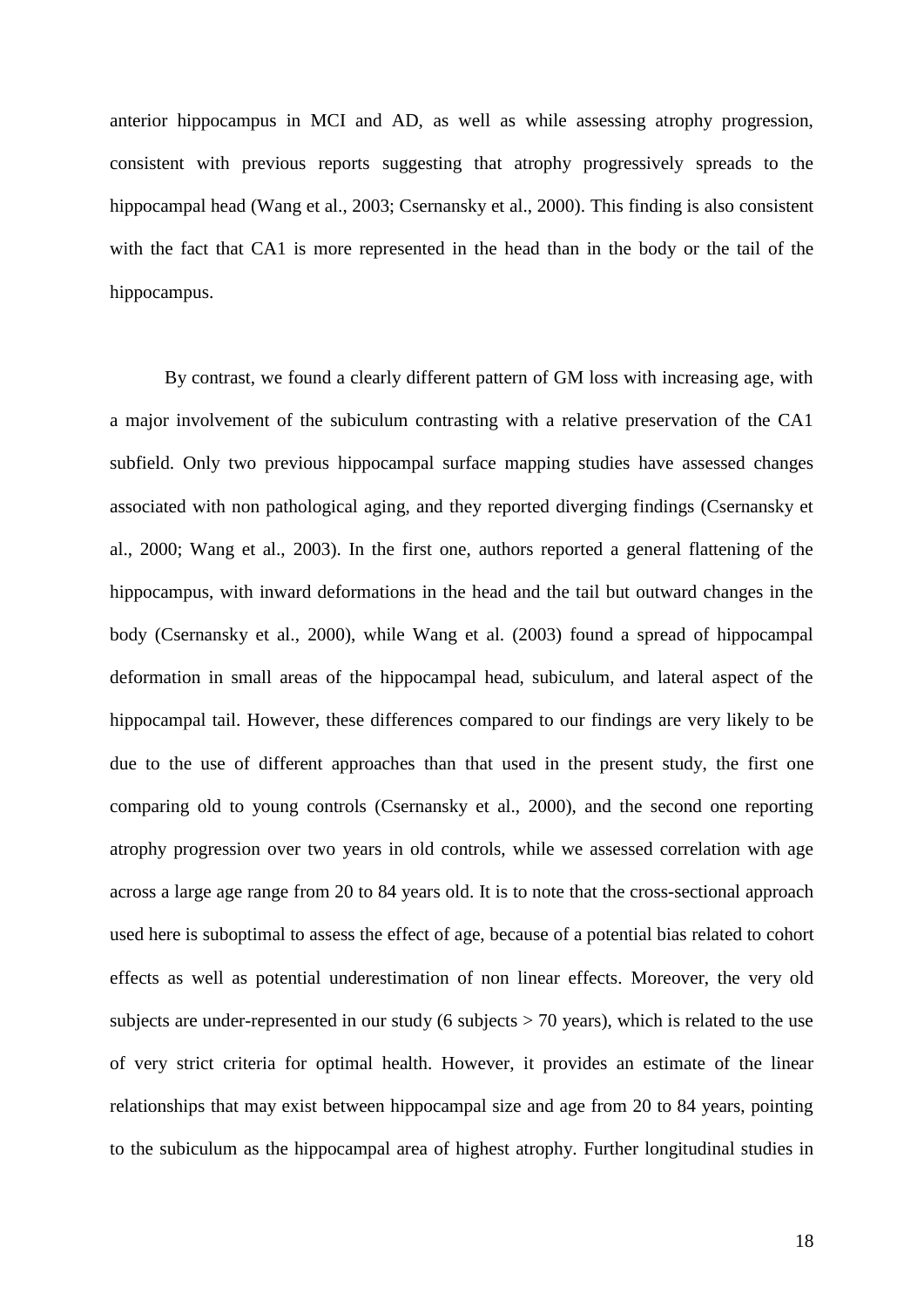anterior hippocampus in MCI and AD, as well as while assessing atrophy progression, consistent with previous reports suggesting that atrophy progressively spreads to the hippocampal head (Wang et al., 2003; Csernansky et al., 2000). This finding is also consistent with the fact that CA1 is more represented in the head than in the body or the tail of the hippocampus.

By contrast, we found a clearly different pattern of GM loss with increasing age, with a major involvement of the subiculum contrasting with a relative preservation of the CA1 subfield. Only two previous hippocampal surface mapping studies have assessed changes associated with non pathological aging, and they reported diverging findings (Csernansky et al., 2000; Wang et al., 2003). In the first one, authors reported a general flattening of the hippocampus, with inward deformations in the head and the tail but outward changes in the body (Csernansky et al., 2000), while Wang et al. (2003) found a spread of hippocampal deformation in small areas of the hippocampal head, subiculum, and lateral aspect of the hippocampal tail. However, these differences compared to our findings are very likely to be due to the use of different approaches than that used in the present study, the first one comparing old to young controls (Csernansky et al., 2000), and the second one reporting atrophy progression over two years in old controls, while we assessed correlation with age across a large age range from 20 to 84 years old. It is to note that the cross-sectional approach used here is suboptimal to assess the effect of age, because of a potential bias related to cohort effects as well as potential underestimation of non linear effects. Moreover, the very old subjects are under-represented in our study (6 subjects  $> 70$  years), which is related to the use of very strict criteria for optimal health. However, it provides an estimate of the linear relationships that may exist between hippocampal size and age from 20 to 84 years, pointing to the subiculum as the hippocampal area of highest atrophy. Further longitudinal studies in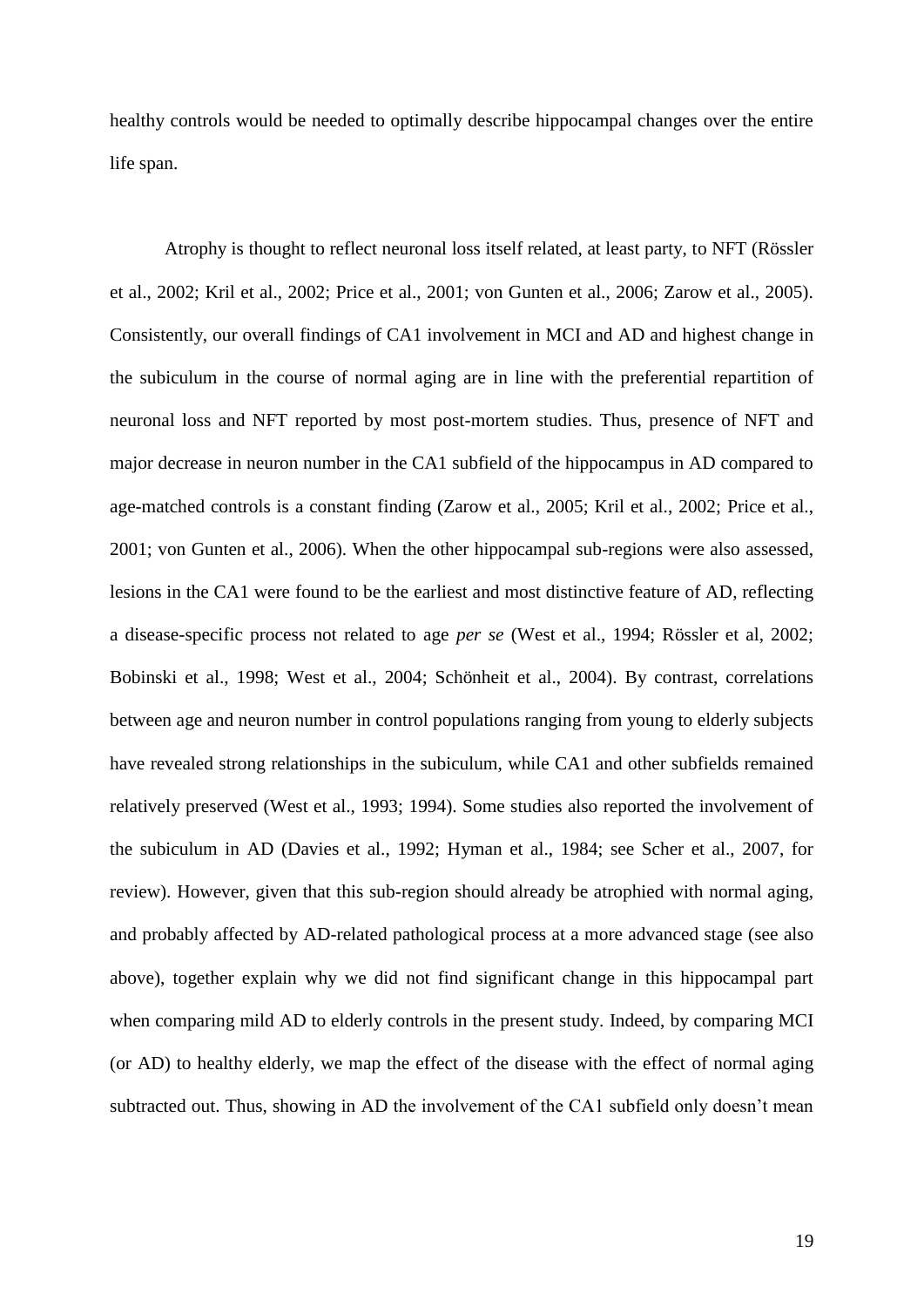healthy controls would be needed to optimally describe hippocampal changes over the entire life span.

Atrophy is thought to reflect neuronal loss itself related, at least party, to NFT (Rössler et al., 2002; Kril et al., 2002; Price et al., 2001; von Gunten et al., 2006; Zarow et al., 2005). Consistently, our overall findings of CA1 involvement in MCI and AD and highest change in the subiculum in the course of normal aging are in line with the preferential repartition of neuronal loss and NFT reported by most post-mortem studies. Thus, presence of NFT and major decrease in neuron number in the CA1 subfield of the hippocampus in AD compared to age-matched controls is a constant finding (Zarow et al., 2005; Kril et al., 2002; Price et al., 2001; von Gunten et al., 2006). When the other hippocampal sub-regions were also assessed, lesions in the CA1 were found to be the earliest and most distinctive feature of AD, reflecting a disease-specific process not related to age *per se* (West et al., 1994; Rössler et al, 2002; Bobinski et al., 1998; West et al., 2004; Schönheit et al., 2004). By contrast, correlations between age and neuron number in control populations ranging from young to elderly subjects have revealed strong relationships in the subiculum, while CA1 and other subfields remained relatively preserved (West et al., 1993; 1994). Some studies also reported the involvement of the subiculum in AD (Davies et al., 1992; Hyman et al., 1984; see Scher et al., 2007, for review). However, given that this sub-region should already be atrophied with normal aging, and probably affected by AD-related pathological process at a more advanced stage (see also above), together explain why we did not find significant change in this hippocampal part when comparing mild AD to elderly controls in the present study. Indeed, by comparing MCI (or AD) to healthy elderly, we map the effect of the disease with the effect of normal aging subtracted out. Thus, showing in AD the involvement of the CA1 subfield only doesn't mean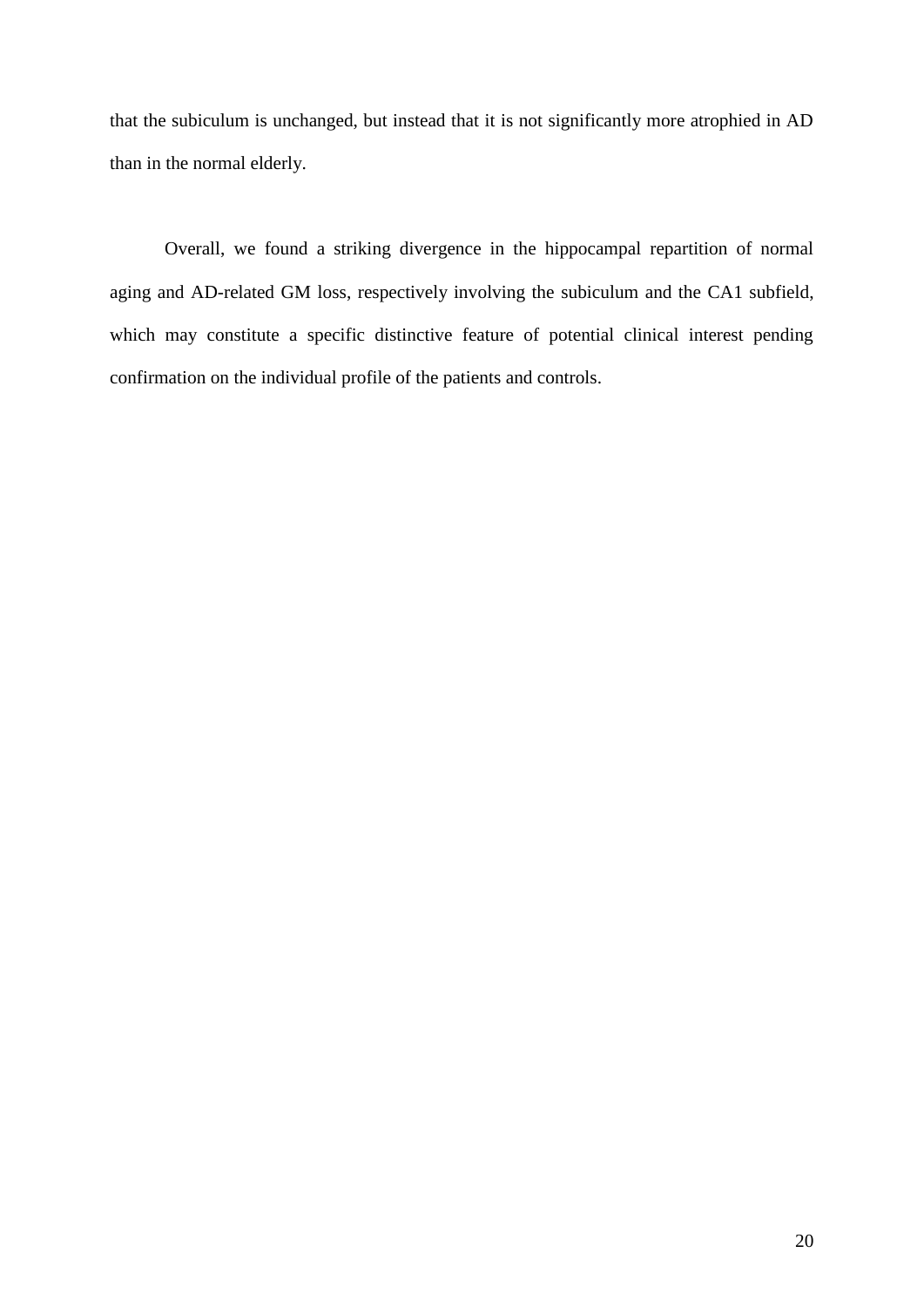that the subiculum is unchanged, but instead that it is not significantly more atrophied in AD than in the normal elderly.

Overall, we found a striking divergence in the hippocampal repartition of normal aging and AD-related GM loss, respectively involving the subiculum and the CA1 subfield, which may constitute a specific distinctive feature of potential clinical interest pending confirmation on the individual profile of the patients and controls.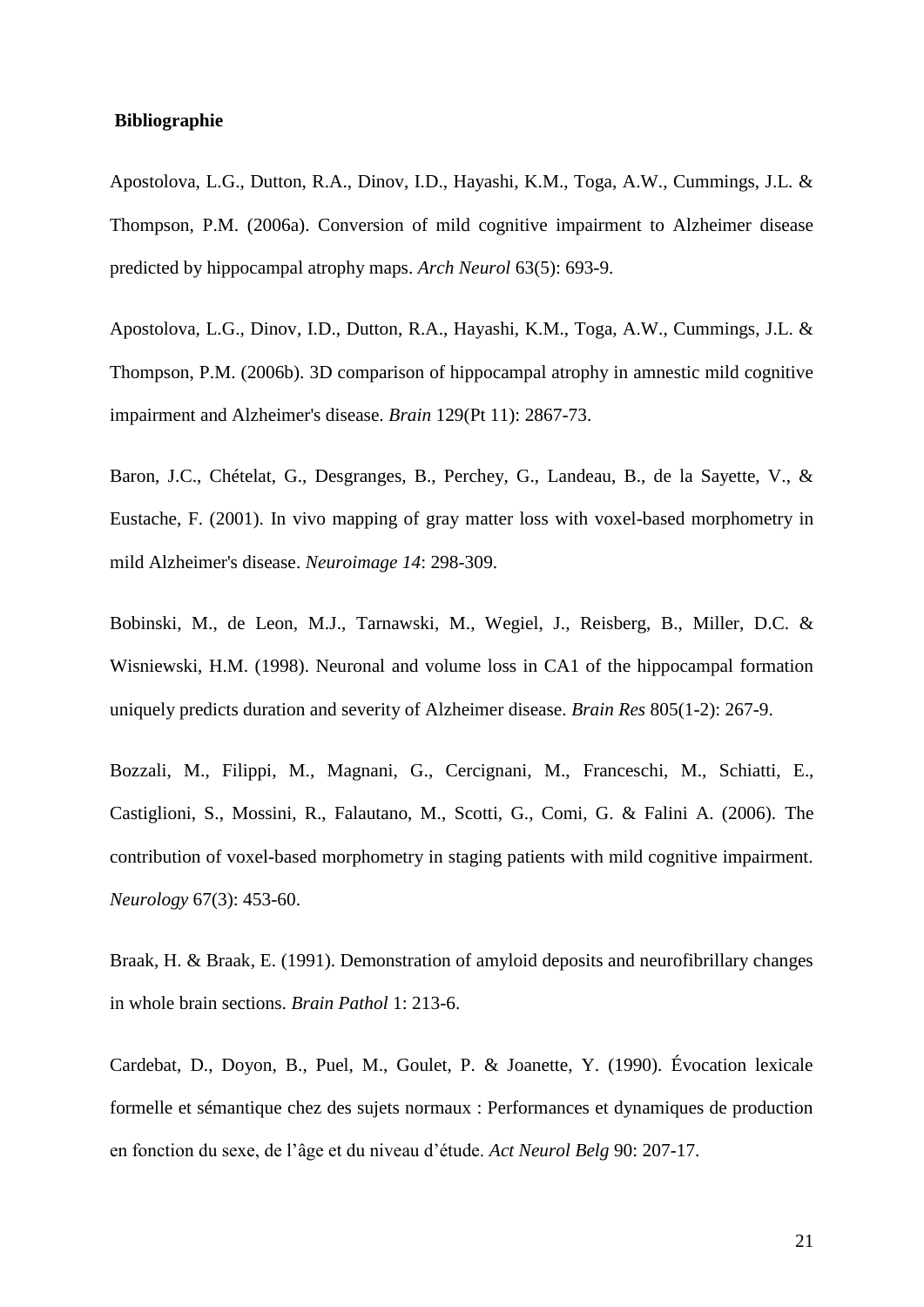### **Bibliographie**

Apostolova, L.G., Dutton, R.A., Dinov, I.D., Hayashi, K.M., Toga, A.W., Cummings, J.L. & Thompson, P.M. (2006a). Conversion of mild cognitive impairment to Alzheimer disease predicted by hippocampal atrophy maps. *Arch Neurol* 63(5): 693-9.

Apostolova, L.G., Dinov, I.D., Dutton, R.A., Hayashi, K.M., Toga, A.W., Cummings, J.L. & Thompson, P.M. (2006b). 3D comparison of hippocampal atrophy in amnestic mild cognitive impairment and Alzheimer's disease. *Brain* 129(Pt 11): 2867-73.

Baron, J.C., Chételat, G., Desgranges, B., Perchey, G., Landeau, B., de la Sayette, V., & Eustache, F. (2001). In vivo mapping of gray matter loss with voxel-based morphometry in mild Alzheimer's disease. *Neuroimage 14*: 298-309.

Bobinski, M., de Leon, M.J., Tarnawski, M., Wegiel, J., Reisberg, B., Miller, D.C. & Wisniewski, H.M. (1998). Neuronal and volume loss in CA1 of the hippocampal formation uniquely predicts duration and severity of Alzheimer disease. *Brain Res* 805(1-2): 267-9.

Bozzali, M., Filippi, M., Magnani, G., Cercignani, M., Franceschi, M., Schiatti, E., Castiglioni, S., Mossini, R., Falautano, M., Scotti, G., Comi, G. & Falini A. (2006). The contribution of voxel-based morphometry in staging patients with mild cognitive impairment. *Neurology* 67(3): 453-60.

Braak, H. & Braak, E. (1991). Demonstration of amyloid deposits and neurofibrillary changes in whole brain sections. *Brain Pathol* 1: 213-6.

Cardebat, D., Doyon, B., Puel, M., Goulet, P. & Joanette, Y. (1990). Évocation lexicale formelle et sémantique chez des sujets normaux : Performances et dynamiques de production en fonction du sexe, de l"âge et du niveau d"étude. *Act Neurol Belg* 90: 207-17.

21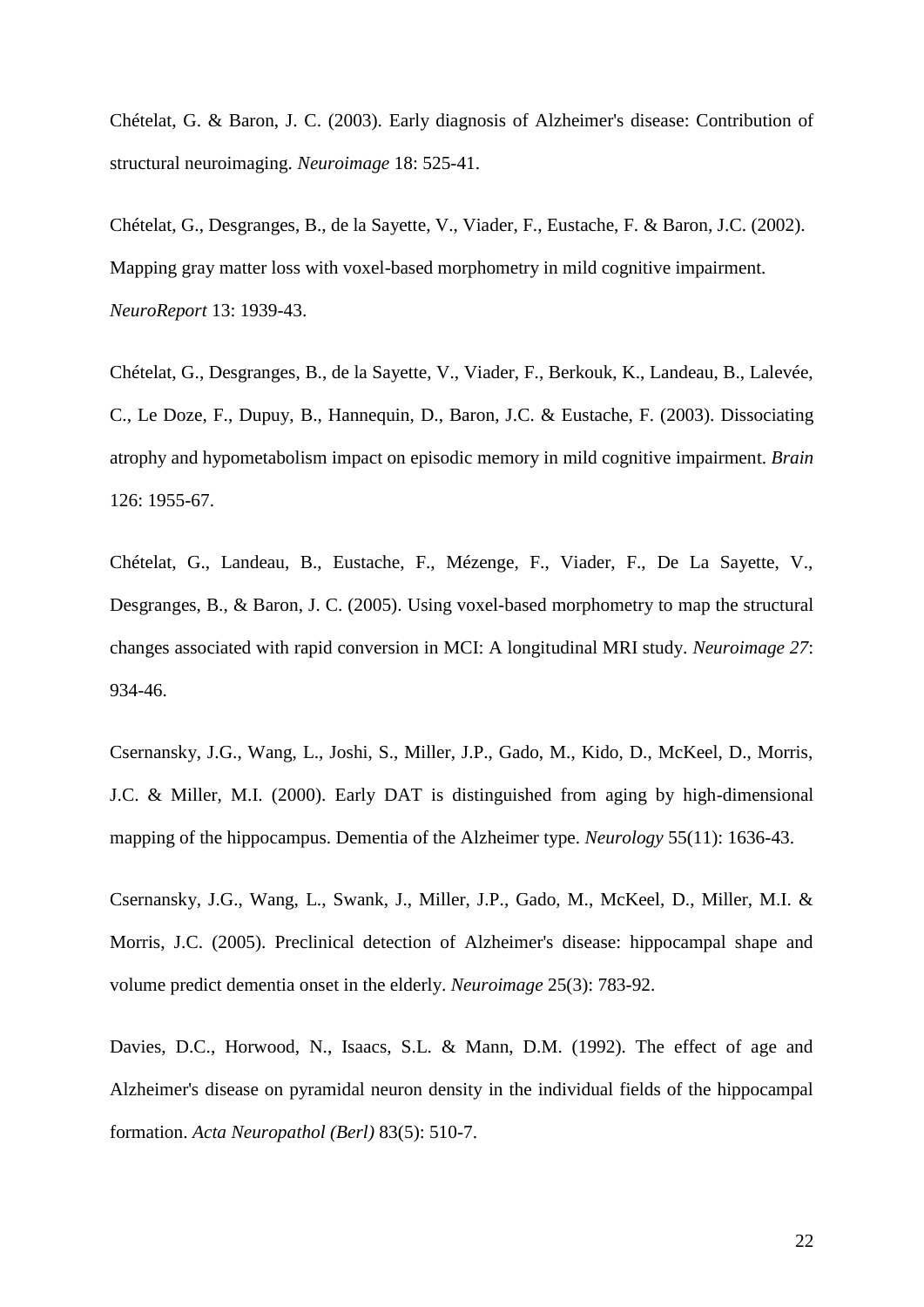Chételat, G. & Baron, J. C. (2003). Early diagnosis of Alzheimer's disease: Contribution of structural neuroimaging. *Neuroimage* 18: 525-41.

Chételat, G., Desgranges, B., de la Sayette, V., Viader, F., Eustache, F. & Baron, J.C. (2002). Mapping gray matter loss with voxel-based morphometry in mild cognitive impairment. *NeuroReport* 13: 1939-43.

Chételat, G., Desgranges, B., de la Sayette, V., Viader, F., Berkouk, K., Landeau, B., Lalevée, C., Le Doze, F., Dupuy, B., Hannequin, D., Baron, J.C. & Eustache, F. (2003). Dissociating atrophy and hypometabolism impact on episodic memory in mild cognitive impairment. *Brain* 126: 1955-67.

Chételat, G., Landeau, B., Eustache, F., Mézenge, F., Viader, F., De La Sayette, V., Desgranges, B., & Baron, J. C. (2005). Using voxel-based morphometry to map the structural changes associated with rapid conversion in MCI: A longitudinal MRI study. *Neuroimage 27*: 934-46.

Csernansky, J.G., Wang, L., Joshi, S., Miller, J.P., Gado, M., Kido, D., McKeel, D., Morris, J.C. & Miller, M.I. (2000). Early DAT is distinguished from aging by high-dimensional mapping of the hippocampus. Dementia of the Alzheimer type. *Neurology* 55(11): 1636-43.

Csernansky, J.G., Wang, L., Swank, J., Miller, J.P., Gado, M., McKeel, D., Miller, M.I. & Morris, J.C. (2005). Preclinical detection of Alzheimer's disease: hippocampal shape and volume predict dementia onset in the elderly. *Neuroimage* 25(3): 783-92.

Davies, D.C., Horwood, N., Isaacs, S.L. & Mann, D.M. (1992). The effect of age and Alzheimer's disease on pyramidal neuron density in the individual fields of the hippocampal formation. *Acta Neuropathol (Berl)* 83(5): 510-7.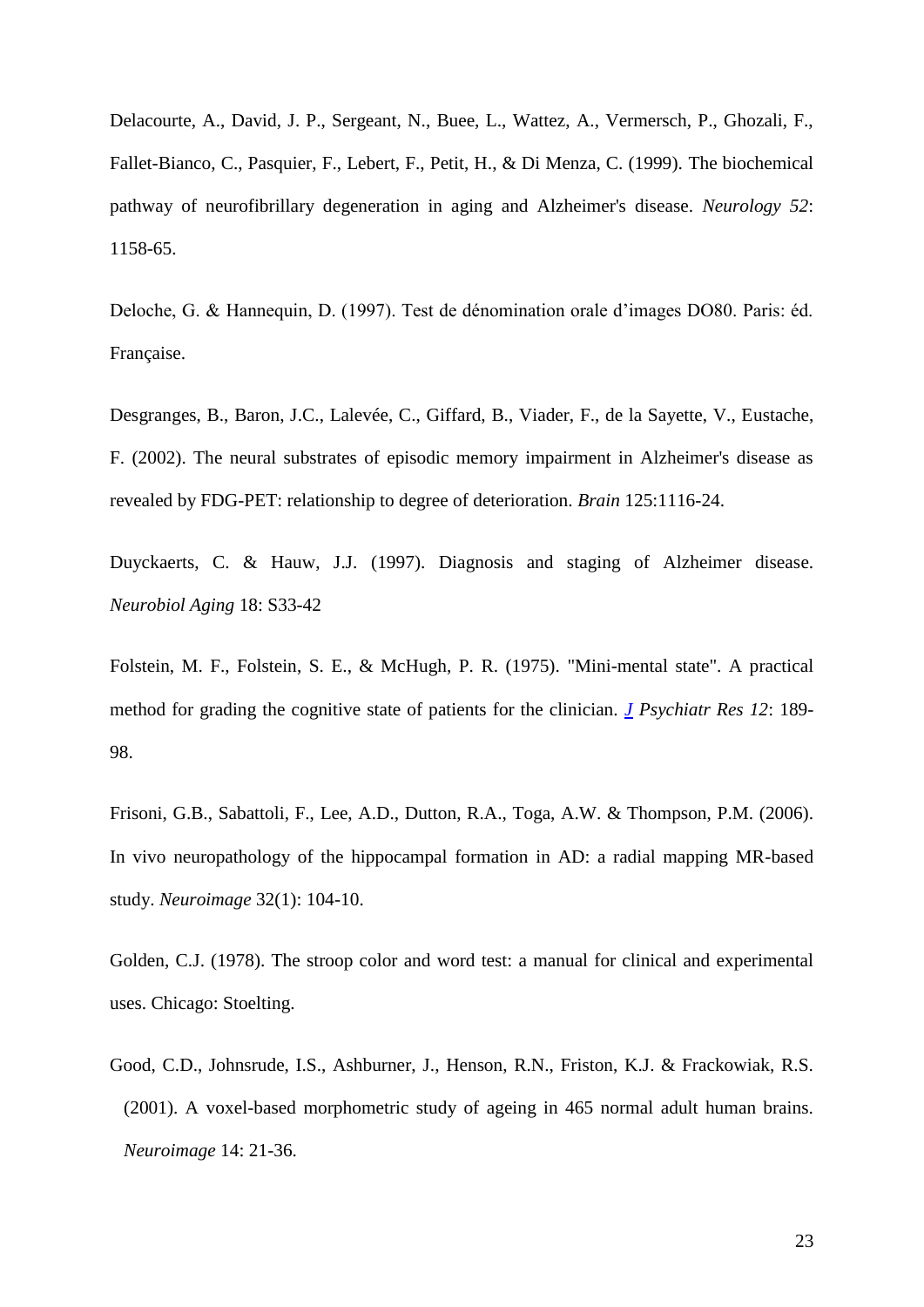Delacourte, A., David, J. P., Sergeant, N., Buee, L., Wattez, A., Vermersch, P., Ghozali, F., Fallet-Bianco, C., Pasquier, F., Lebert, F., Petit, H., & Di Menza, C. (1999). The biochemical pathway of neurofibrillary degeneration in aging and Alzheimer's disease. *Neurology 52*: 1158-65.

Deloche, G. & Hannequin, D. (1997). Test de dénomination orale d"images DO80. Paris: éd. Française.

Desgranges, B., Baron, J.C., Lalevée, C., Giffard, B., Viader, F., de la Sayette, V., Eustache, F. (2002). The neural substrates of episodic memory impairment in Alzheimer's disease as revealed by FDG-PET: relationship to degree of deterioration. *Brain* 125:1116-24.

Duyckaerts, C. & Hauw, J.J. (1997). Diagnosis and staging of Alzheimer disease. *Neurobiol Aging* 18: S33-42

Folstein, M. F., Folstein, S. E., & McHugh, P. R. (1975). "Mini-mental state". A practical method for grading the cognitive state of patients for the clinician. *[J](javascript:AL_get(this,%20) Psychiatr Res 12*: 189- 98.

Frisoni, G.B., Sabattoli, F., Lee, A.D., Dutton, R.A., Toga, A.W. & Thompson, P.M. (2006). In vivo neuropathology of the hippocampal formation in AD: a radial mapping MR-based study. *Neuroimage* 32(1): 104-10.

Golden, C.J. (1978). The stroop color and word test: a manual for clinical and experimental uses. Chicago: Stoelting.

Good, C.D., Johnsrude, I.S., Ashburner, J., Henson, R.N., Friston, K.J. & Frackowiak, R.S. (2001). A voxel-based morphometric study of ageing in 465 normal adult human brains. *Neuroimage* 14: 21-36.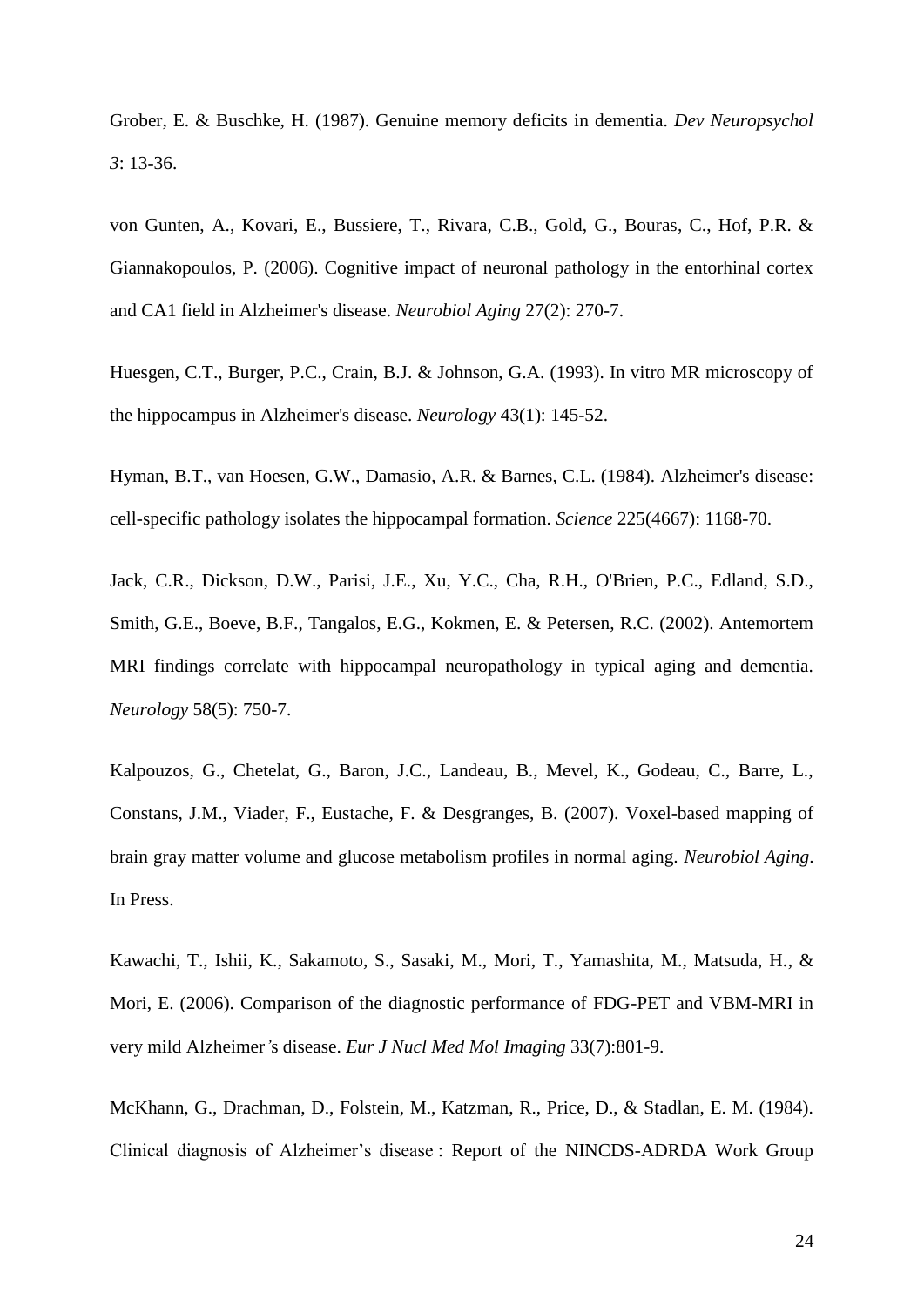Grober, E. & Buschke, H. (1987). Genuine memory deficits in dementia. *Dev Neuropsychol 3*: 13-36.

von Gunten, A., Kovari, E., Bussiere, T., Rivara, C.B., Gold, G., Bouras, C., Hof, P.R. & Giannakopoulos, P. (2006). Cognitive impact of neuronal pathology in the entorhinal cortex and CA1 field in Alzheimer's disease. *Neurobiol Aging* 27(2): 270-7.

Huesgen, C.T., Burger, P.C., Crain, B.J. & Johnson, G.A. (1993). In vitro MR microscopy of the hippocampus in Alzheimer's disease. *Neurology* 43(1): 145-52.

Hyman, B.T., van Hoesen, G.W., Damasio, A.R. & Barnes, C.L. (1984). Alzheimer's disease: cell-specific pathology isolates the hippocampal formation. *Science* 225(4667): 1168-70.

Jack, C.R., Dickson, D.W., Parisi, J.E., Xu, Y.C., Cha, R.H., O'Brien, P.C., Edland, S.D., Smith, G.E., Boeve, B.F., Tangalos, E.G., Kokmen, E. & Petersen, R.C. (2002). Antemortem MRI findings correlate with hippocampal neuropathology in typical aging and dementia. *Neurology* 58(5): 750-7.

Kalpouzos, G., Chetelat, G., Baron, J.C., Landeau, B., Mevel, K., Godeau, C., Barre, L., Constans, J.M., Viader, F., Eustache, F. & Desgranges, B. (2007). Voxel-based mapping of brain gray matter volume and glucose metabolism profiles in normal aging. *Neurobiol Aging*. In Press.

Kawachi, T., Ishii, K., Sakamoto, S., Sasaki, M., Mori, T., Yamashita, M., Matsuda, H., & Mori, E. (2006). Comparison of the diagnostic performance of FDG-PET and VBM-MRI in very mild Alzheimer*'*s disease. *Eur J Nucl Med Mol Imaging* 33(7):801-9.

McKhann, G., Drachman, D., Folstein, M., Katzman, R., Price, D., & Stadlan, E. M. (1984). Clinical diagnosis of Alzheimer"s disease : Report of the NINCDS-ADRDA Work Group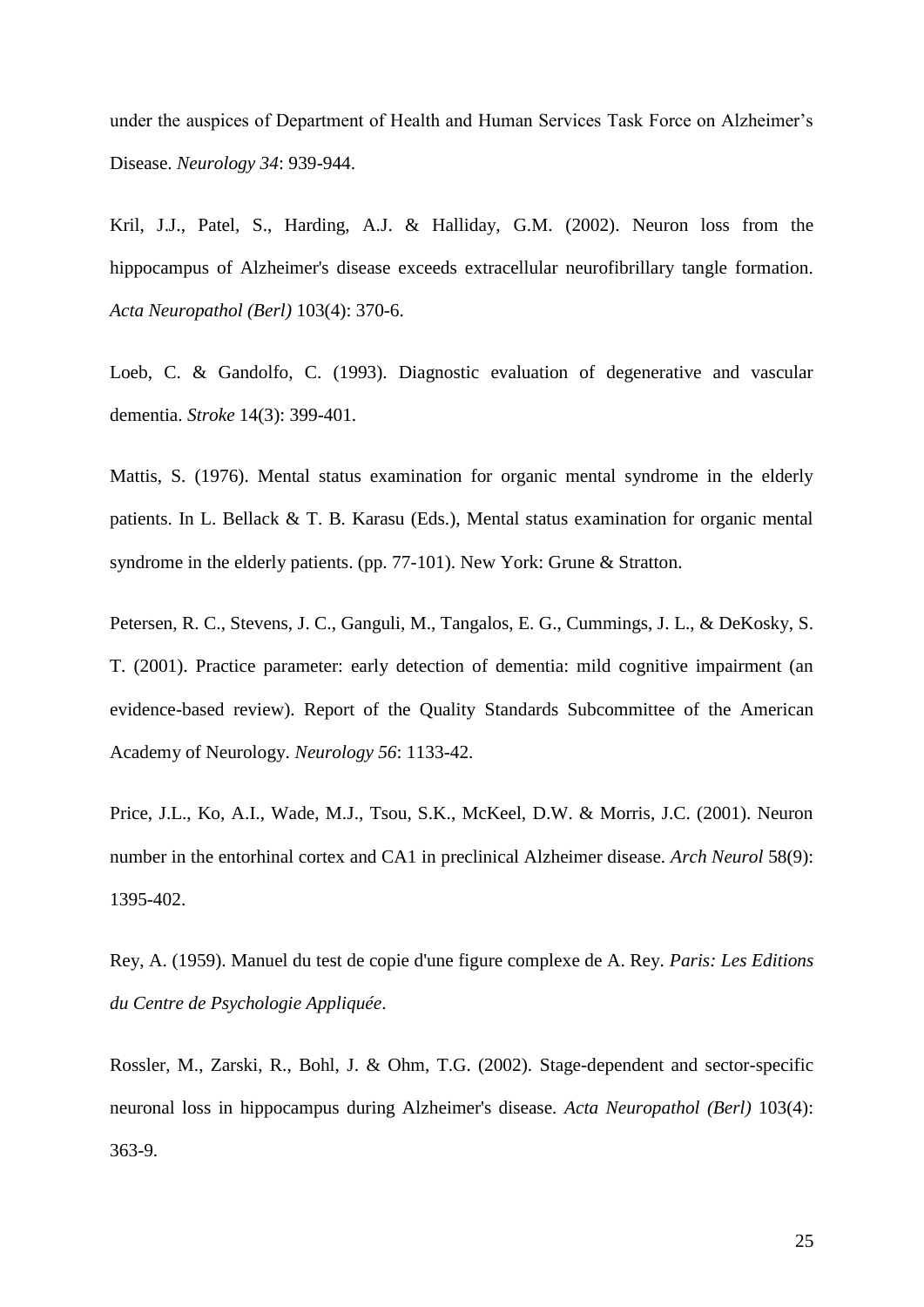under the auspices of Department of Health and Human Services Task Force on Alzheimer's Disease. *Neurology 34*: 939-944.

Kril, J.J., Patel, S., Harding, A.J. & Halliday, G.M. (2002). Neuron loss from the hippocampus of Alzheimer's disease exceeds extracellular neurofibrillary tangle formation. *Acta Neuropathol (Berl)* 103(4): 370-6.

Loeb, C. & Gandolfo, C. (1993). Diagnostic evaluation of degenerative and vascular dementia. *Stroke* 14(3): 399-401.

Mattis, S. (1976). Mental status examination for organic mental syndrome in the elderly patients. In L. Bellack & T. B. Karasu (Eds.), Mental status examination for organic mental syndrome in the elderly patients. (pp. 77-101). New York: Grune & Stratton.

Petersen, R. C., Stevens, J. C., Ganguli, M., Tangalos, E. G., Cummings, J. L., & DeKosky, S. T. (2001). Practice parameter: early detection of dementia: mild cognitive impairment (an evidence-based review). Report of the Quality Standards Subcommittee of the American Academy of Neurology. *Neurology 56*: 1133-42.

Price, J.L., Ko, A.I., Wade, M.J., Tsou, S.K., McKeel, D.W. & Morris, J.C. (2001). Neuron number in the entorhinal cortex and CA1 in preclinical Alzheimer disease. *Arch Neurol* 58(9): 1395-402.

Rey, A. (1959). Manuel du test de copie d'une figure complexe de A. Rey. *Paris: Les Editions du Centre de Psychologie Appliquée*.

Rossler, M., Zarski, R., Bohl, J. & Ohm, T.G. (2002). Stage-dependent and sector-specific neuronal loss in hippocampus during Alzheimer's disease. *Acta Neuropathol (Berl)* 103(4): 363-9.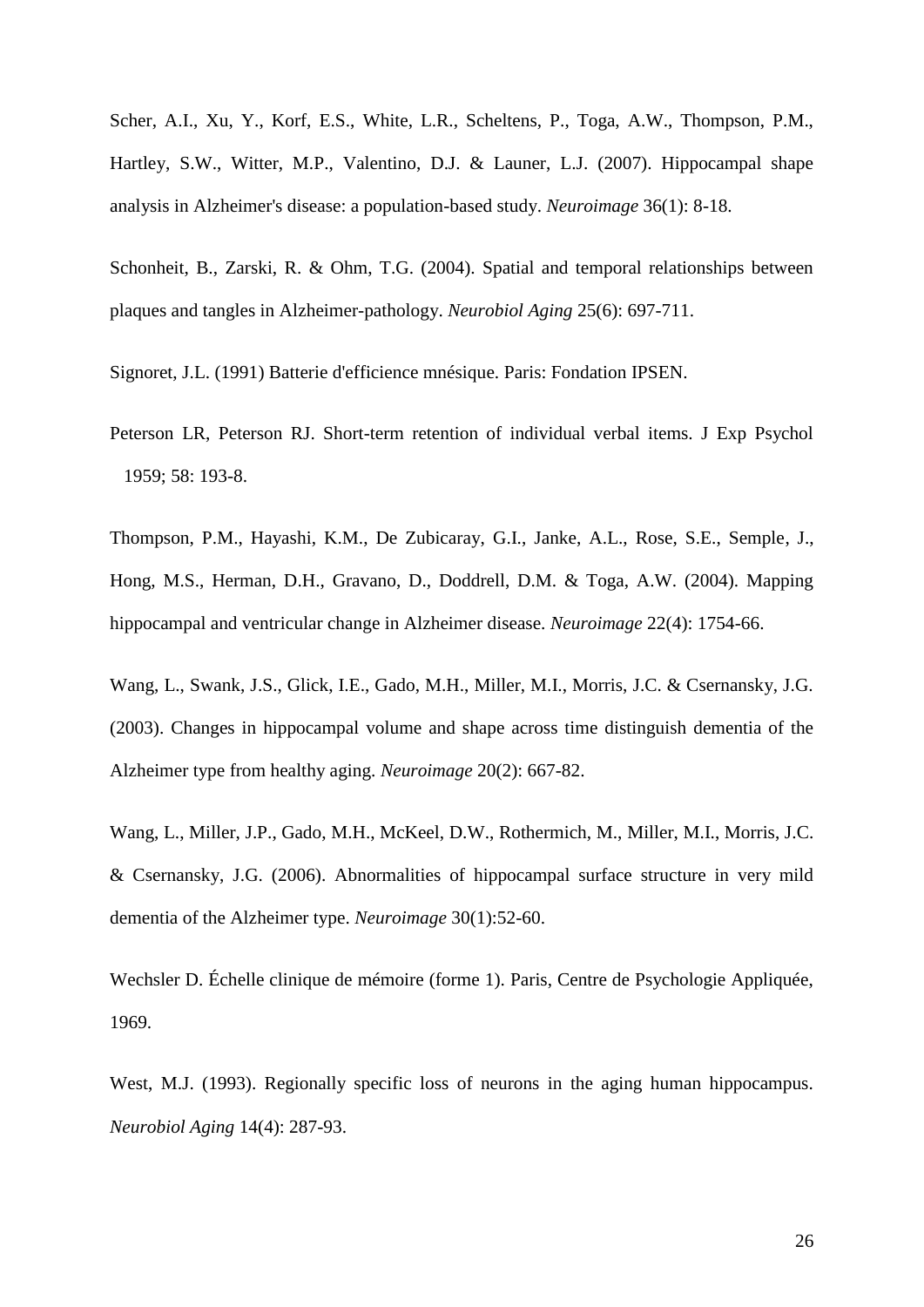Scher, A.I., Xu, Y., Korf, E.S., White, L.R., Scheltens, P., Toga, A.W., Thompson, P.M., Hartley, S.W., Witter, M.P., Valentino, D.J. & Launer, L.J. (2007). Hippocampal shape analysis in Alzheimer's disease: a population-based study. *Neuroimage* 36(1): 8-18.

Schonheit, B., Zarski, R. & Ohm, T.G. (2004). Spatial and temporal relationships between plaques and tangles in Alzheimer-pathology. *Neurobiol Aging* 25(6): 697-711.

Signoret, J.L. (1991) Batterie d'efficience mnésique. Paris: Fondation IPSEN.

Peterson LR, Peterson RJ. Short-term retention of individual verbal items. J Exp Psychol 1959; 58: 193-8.

Thompson, P.M., Hayashi, K.M., De Zubicaray, G.I., Janke, A.L., Rose, S.E., Semple, J., Hong, M.S., Herman, D.H., Gravano, D., Doddrell, D.M. & Toga, A.W. (2004). Mapping hippocampal and ventricular change in Alzheimer disease. *Neuroimage* 22(4): 1754-66.

Wang, L., Swank, J.S., Glick, I.E., Gado, M.H., Miller, M.I., Morris, J.C. & Csernansky, J.G. (2003). Changes in hippocampal volume and shape across time distinguish dementia of the Alzheimer type from healthy aging. *Neuroimage* 20(2): 667-82.

Wang, L., Miller, J.P., Gado, M.H., McKeel, D.W., Rothermich, M., Miller, M.I., Morris, J.C. & Csernansky, J.G. (2006). Abnormalities of hippocampal surface structure in very mild dementia of the Alzheimer type. *Neuroimage* 30(1):52-60.

Wechsler D. Échelle clinique de mémoire (forme 1). Paris, Centre de Psychologie Appliquée, 1969.

West, M.J. (1993). Regionally specific loss of neurons in the aging human hippocampus. *Neurobiol Aging* 14(4): 287-93.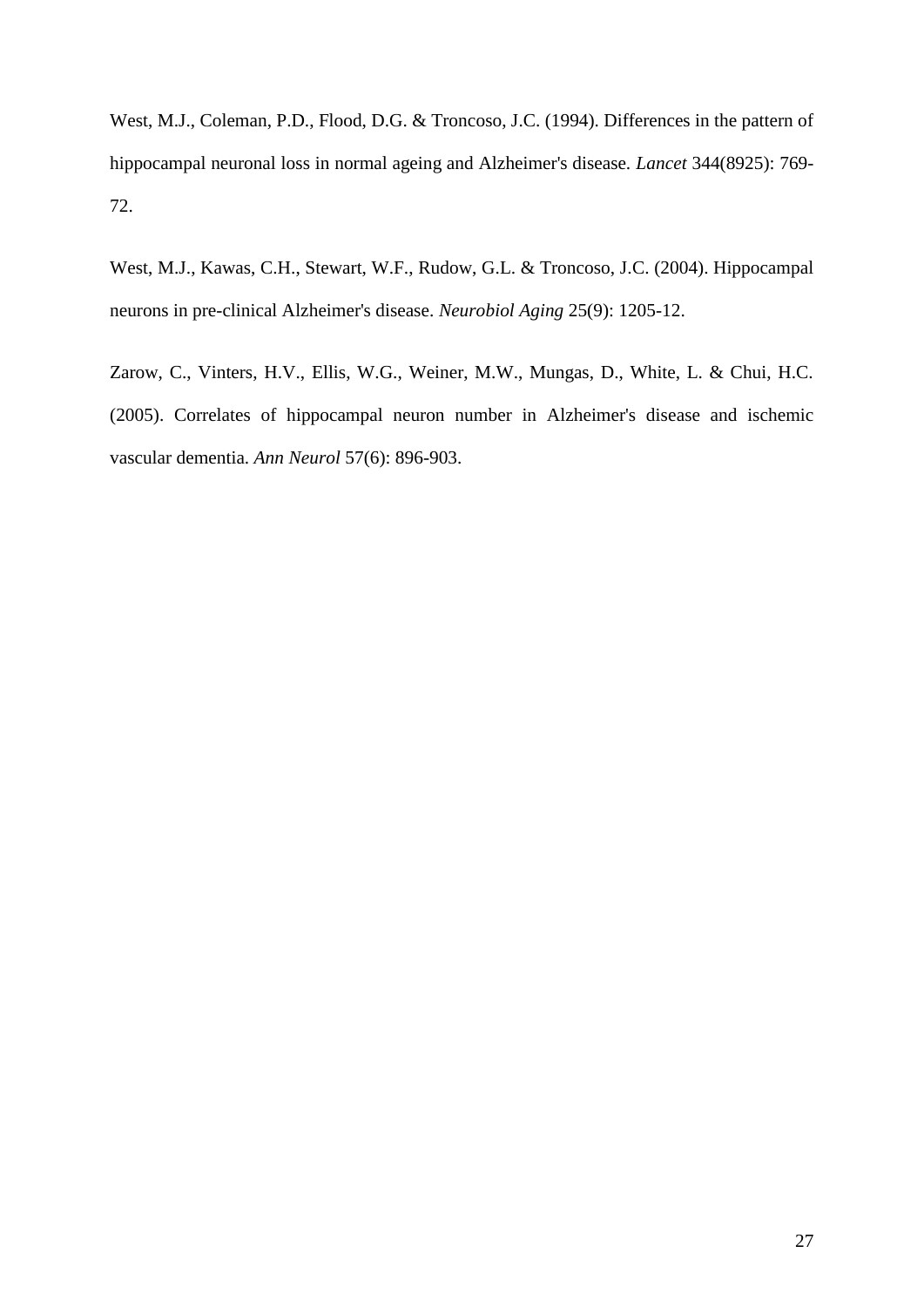West, M.J., Coleman, P.D., Flood, D.G. & Troncoso, J.C. (1994). Differences in the pattern of hippocampal neuronal loss in normal ageing and Alzheimer's disease. *Lancet* 344(8925): 769- 72.

West, M.J., Kawas, C.H., Stewart, W.F., Rudow, G.L. & Troncoso, J.C. (2004). Hippocampal neurons in pre-clinical Alzheimer's disease. *Neurobiol Aging* 25(9): 1205-12.

Zarow, C., Vinters, H.V., Ellis, W.G., Weiner, M.W., Mungas, D., White, L. & Chui, H.C. (2005). Correlates of hippocampal neuron number in Alzheimer's disease and ischemic vascular dementia. *Ann Neurol* 57(6): 896-903.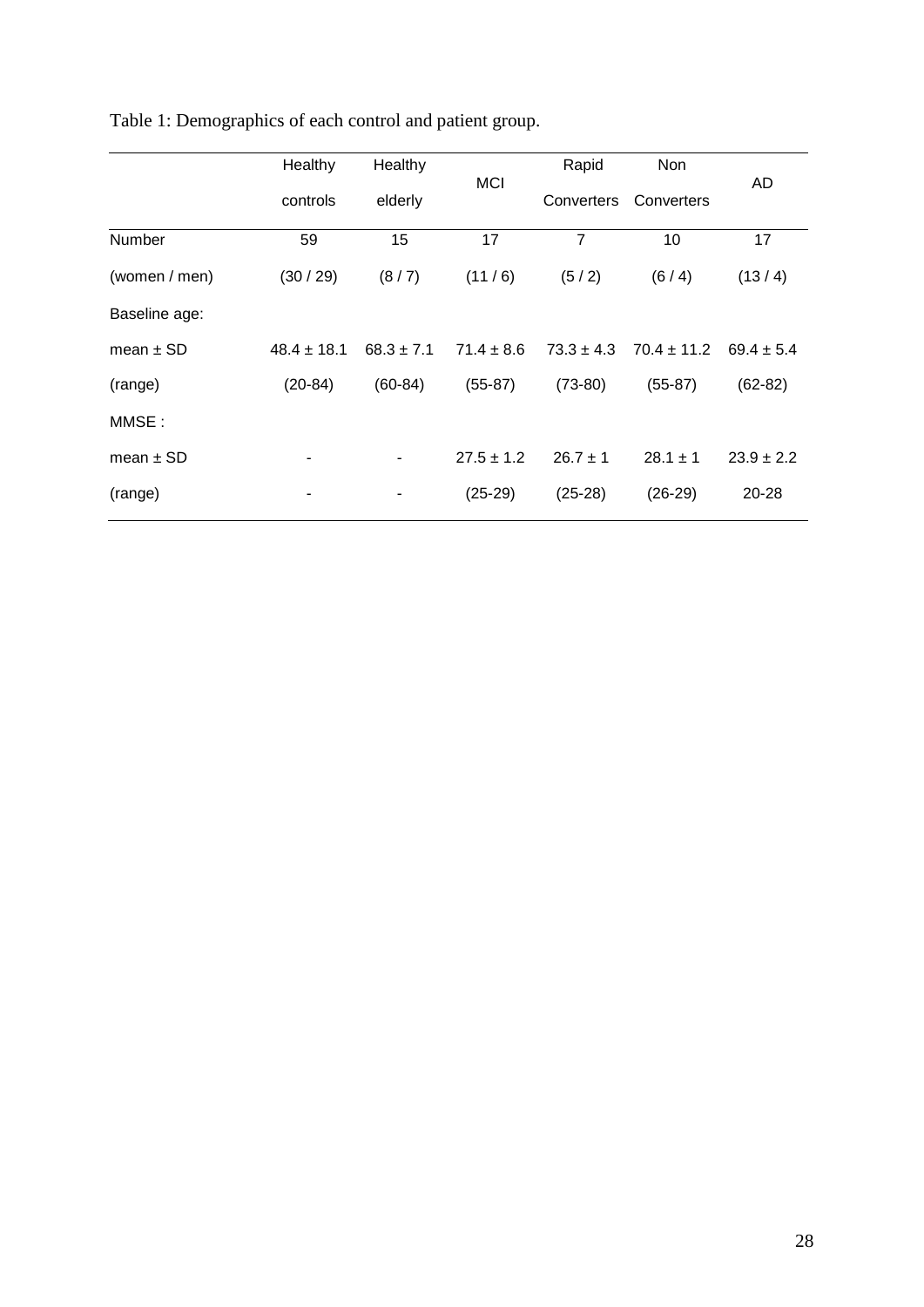|               | Healthy         | Healthy        | <b>MCI</b>     | Rapid          | Non             | AD             |
|---------------|-----------------|----------------|----------------|----------------|-----------------|----------------|
|               | controls        | elderly        |                | Converters     | Converters      |                |
| Number        | 59              | 15             | 17             | $\overline{7}$ | 10              | 17             |
| (women / men) | (30/29)         | (8/7)          | (11/6)         | (5/2)          | (6/4)           | (13/4)         |
| Baseline age: |                 |                |                |                |                 |                |
| mean $\pm$ SD | $48.4 \pm 18.1$ | $68.3 \pm 7.1$ | $71.4 \pm 8.6$ | $73.3 \pm 4.3$ | $70.4 \pm 11.2$ | $69.4 \pm 5.4$ |
| (range)       | $(20-84)$       | $(60-84)$      | $(55-87)$      | $(73-80)$      | $(55-87)$       | $(62-82)$      |
| MMSE:         |                 |                |                |                |                 |                |
| mean $\pm$ SD |                 |                | $27.5 \pm 1.2$ | $26.7 \pm 1$   | $28.1 \pm 1$    | $23.9 \pm 2.2$ |
| (range)       | -               |                | $(25-29)$      | $(25-28)$      | $(26-29)$       | 20-28          |
|               |                 |                |                |                |                 |                |

Table 1: Demographics of each control and patient group.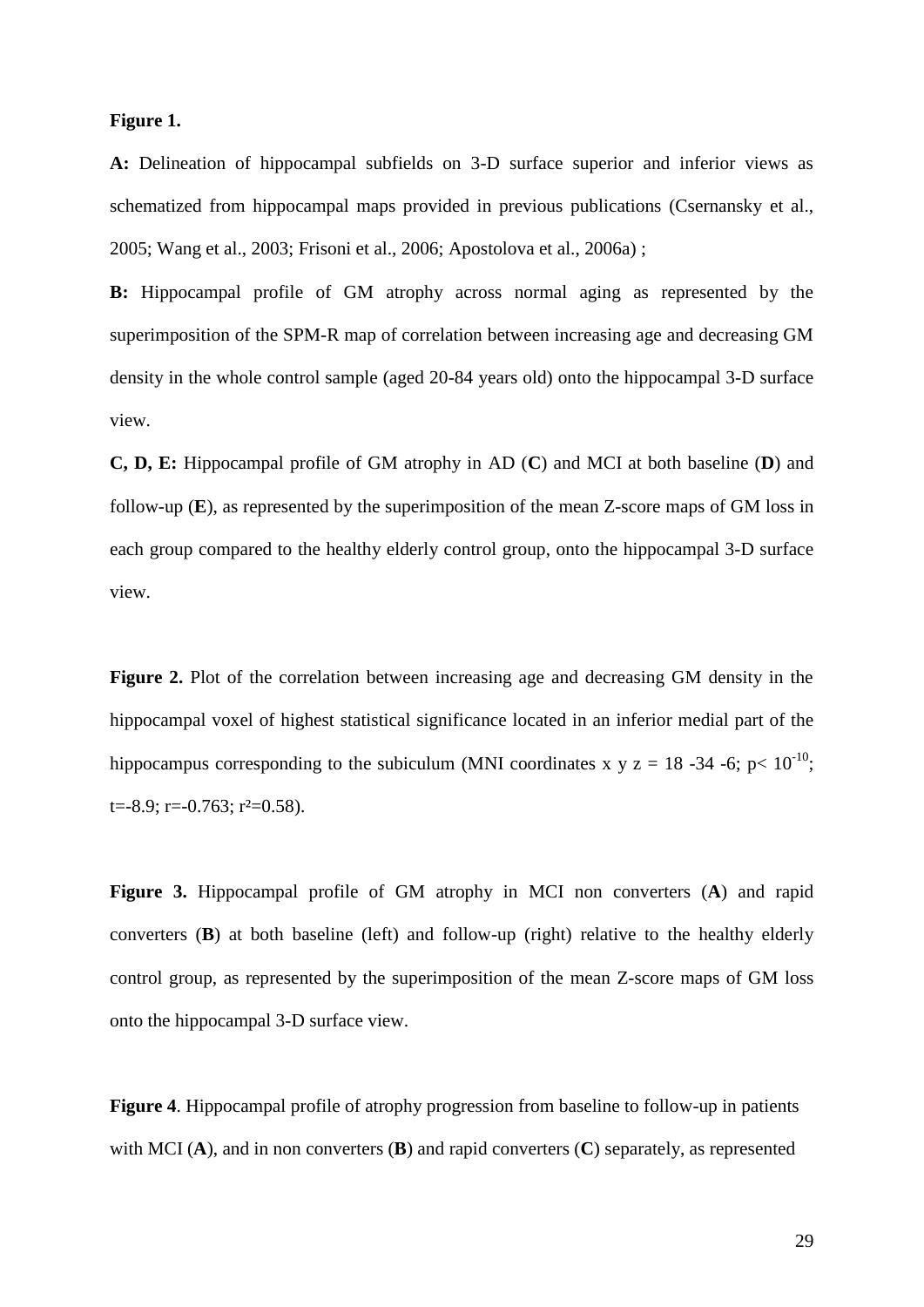# **Figure 1.**

**A:** Delineation of hippocampal subfields on 3-D surface superior and inferior views as schematized from hippocampal maps provided in previous publications (Csernansky et al., 2005; Wang et al., 2003; Frisoni et al., 2006; Apostolova et al., 2006a) ;

**B:** Hippocampal profile of GM atrophy across normal aging as represented by the superimposition of the SPM-R map of correlation between increasing age and decreasing GM density in the whole control sample (aged 20-84 years old) onto the hippocampal 3-D surface view.

**C, D, E:** Hippocampal profile of GM atrophy in AD (**C**) and MCI at both baseline (**D**) and follow-up (**E**), as represented by the superimposition of the mean Z-score maps of GM loss in each group compared to the healthy elderly control group, onto the hippocampal 3-D surface view.

**Figure 2.** Plot of the correlation between increasing age and decreasing GM density in the hippocampal voxel of highest statistical significance located in an inferior medial part of the hippocampus corresponding to the subiculum (MNI coordinates x y z = 18 -34 -6; p<  $10^{-10}$ ;  $t = -8.9$ ;  $r = -0.763$ ;  $r^2 = 0.58$ ).

**Figure 3.** Hippocampal profile of GM atrophy in MCI non converters (**A**) and rapid converters (**B**) at both baseline (left) and follow-up (right) relative to the healthy elderly control group, as represented by the superimposition of the mean Z-score maps of GM loss onto the hippocampal 3-D surface view.

**Figure 4**. Hippocampal profile of atrophy progression from baseline to follow-up in patients with MCI (**A**), and in non converters (**B**) and rapid converters (**C**) separately, as represented